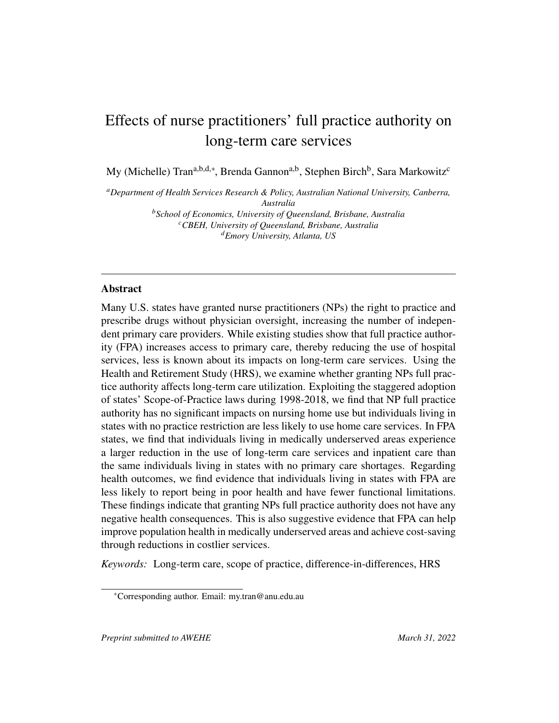# Effects of nurse practitioners' full practice authority on long-term care services

My (Michelle) Tran<sup>a,b,d,∗</sup>, Brenda Gannon<sup>a,b</sup>, Stephen Birch<sup>b</sup>, Sara Markowitz<sup>c</sup>

*<sup>a</sup>Department of Health Services Research & Policy, Australian National University, Canberra, Australia <sup>b</sup>School of Economics, University of Queensland, Brisbane, Australia <sup>c</sup>CBEH, University of Queensland, Brisbane, Australia*

*<sup>d</sup>Emory University, Atlanta, US*

#### Abstract

Many U.S. states have granted nurse practitioners (NPs) the right to practice and prescribe drugs without physician oversight, increasing the number of independent primary care providers. While existing studies show that full practice authority (FPA) increases access to primary care, thereby reducing the use of hospital services, less is known about its impacts on long-term care services. Using the Health and Retirement Study (HRS), we examine whether granting NPs full practice authority affects long-term care utilization. Exploiting the staggered adoption of states' Scope-of-Practice laws during 1998-2018, we find that NP full practice authority has no significant impacts on nursing home use but individuals living in states with no practice restriction are less likely to use home care services. In FPA states, we find that individuals living in medically underserved areas experience a larger reduction in the use of long-term care services and inpatient care than the same individuals living in states with no primary care shortages. Regarding health outcomes, we find evidence that individuals living in states with FPA are less likely to report being in poor health and have fewer functional limitations. These findings indicate that granting NPs full practice authority does not have any negative health consequences. This is also suggestive evidence that FPA can help improve population health in medically underserved areas and achieve cost-saving through reductions in costlier services.

*Keywords:* Long-term care, scope of practice, difference-in-differences, HRS

<sup>∗</sup>Corresponding author. Email: my.tran@anu.edu.au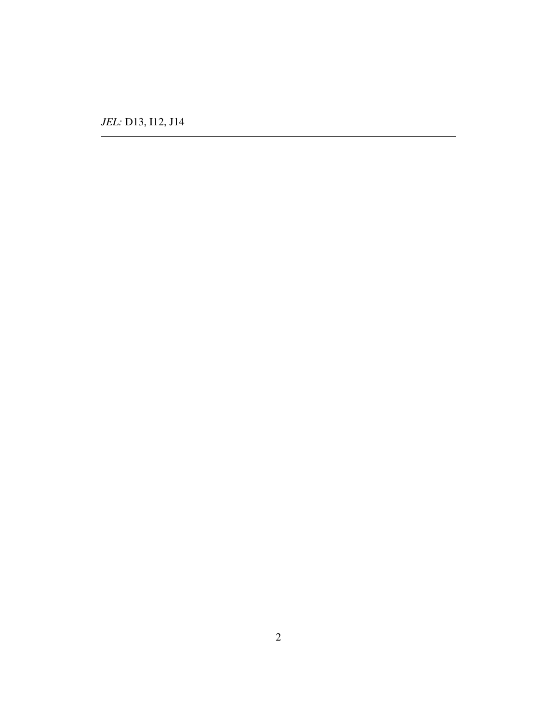*JEL:* D13, I12, J14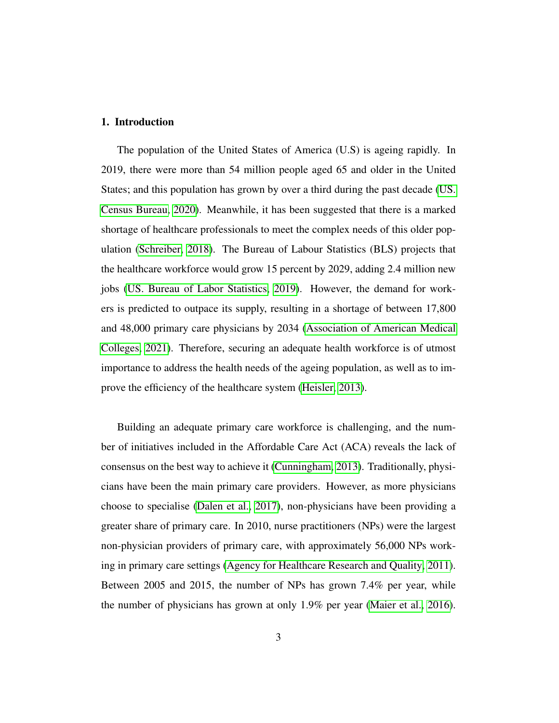#### 1. Introduction

The population of the United States of America (U.S) is ageing rapidly. In 2019, there were more than 54 million people aged 65 and older in the United States; and this population has grown by over a third during the past decade [\(US.](#page-51-0) [Census Bureau, 2020\)](#page-51-0). Meanwhile, it has been suggested that there is a marked shortage of healthcare professionals to meet the complex needs of this older population [\(Schreiber, 2018\)](#page-49-0). The Bureau of Labour Statistics (BLS) projects that the healthcare workforce would grow 15 percent by 2029, adding 2.4 million new jobs [\(US. Bureau of Labor Statistics, 2019\)](#page-50-0). However, the demand for workers is predicted to outpace its supply, resulting in a shortage of between 17,800 and 48,000 primary care physicians by 2034 [\(Association of American Medical](#page-43-0) [Colleges, 2021\)](#page-43-0). Therefore, securing an adequate health workforce is of utmost importance to address the health needs of the ageing population, as well as to improve the efficiency of the healthcare system [\(Heisler, 2013\)](#page-45-0).

Building an adequate primary care workforce is challenging, and the number of initiatives included in the Affordable Care Act (ACA) reveals the lack of consensus on the best way to achieve it [\(Cunningham, 2013\)](#page-44-0). Traditionally, physicians have been the main primary care providers. However, as more physicians choose to specialise [\(Dalen et al., 2017\)](#page-44-1), non-physicians have been providing a greater share of primary care. In 2010, nurse practitioners (NPs) were the largest non-physician providers of primary care, with approximately 56,000 NPs working in primary care settings [\(Agency for Healthcare Research and Quality, 2011\)](#page-42-0). Between 2005 and 2015, the number of NPs has grown 7.4% per year, while the number of physicians has grown at only 1.9% per year [\(Maier et al., 2016\)](#page-47-0).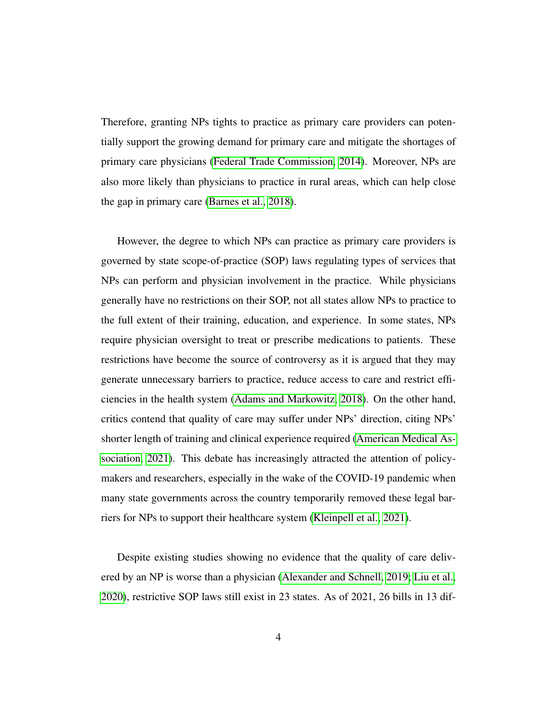Therefore, granting NPs tights to practice as primary care providers can potentially support the growing demand for primary care and mitigate the shortages of primary care physicians [\(Federal Trade Commission, 2014\)](#page-45-1). Moreover, NPs are also more likely than physicians to practice in rural areas, which can help close the gap in primary care [\(Barnes et al., 2018\)](#page-43-1).

However, the degree to which NPs can practice as primary care providers is governed by state scope-of-practice (SOP) laws regulating types of services that NPs can perform and physician involvement in the practice. While physicians generally have no restrictions on their SOP, not all states allow NPs to practice to the full extent of their training, education, and experience. In some states, NPs require physician oversight to treat or prescribe medications to patients. These restrictions have become the source of controversy as it is argued that they may generate unnecessary barriers to practice, reduce access to care and restrict efficiencies in the health system [\(Adams and Markowitz, 2018\)](#page-42-1). On the other hand, critics contend that quality of care may suffer under NPs' direction, citing NPs' shorter length of training and clinical experience required [\(American Medical As](#page-42-2)[sociation, 2021\)](#page-42-2). This debate has increasingly attracted the attention of policymakers and researchers, especially in the wake of the COVID-19 pandemic when many state governments across the country temporarily removed these legal barriers for NPs to support their healthcare system [\(Kleinpell et al., 2021\)](#page-46-0).

Despite existing studies showing no evidence that the quality of care delivered by an NP is worse than a physician [\(Alexander and Schnell, 2019;](#page-42-3) [Liu et al.,](#page-47-1) [2020\)](#page-47-1), restrictive SOP laws still exist in 23 states. As of 2021, 26 bills in 13 dif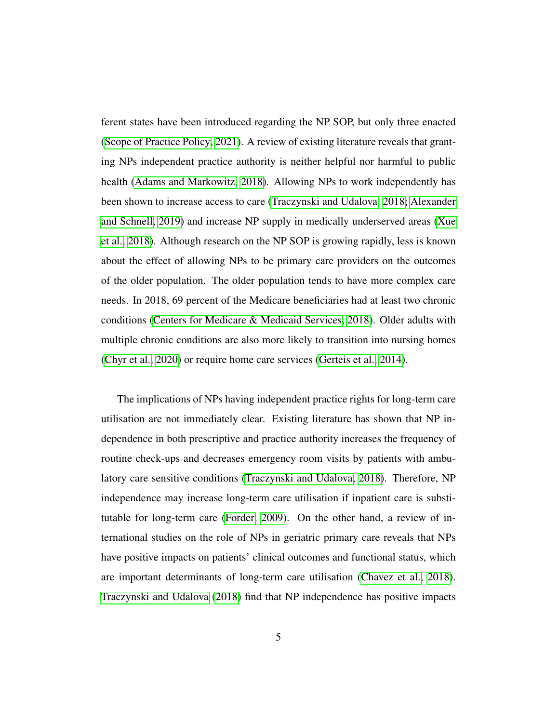ferent states have been introduced regarding the NP SOP, but only three enacted [\(Scope of Practice Policy, 2021\)](#page-50-1). A review of existing literature reveals that granting NPs independent practice authority is neither helpful nor harmful to public health [\(Adams and Markowitz, 2018\)](#page-42-1). Allowing NPs to work independently has been shown to increase access to care [\(Traczynski and Udalova, 2018;](#page-50-2) [Alexander](#page-42-3) [and Schnell, 2019\)](#page-42-3) and increase NP supply in medically underserved areas [\(Xue](#page-51-1) [et al., 2018\)](#page-51-1). Although research on the NP SOP is growing rapidly, less is known about the effect of allowing NPs to be primary care providers on the outcomes of the older population. The older population tends to have more complex care needs. In 2018, 69 percent of the Medicare beneficiaries had at least two chronic conditions [\(Centers for Medicare & Medicaid Services, 2018\)](#page-43-2). Older adults with multiple chronic conditions are also more likely to transition into nursing homes [\(Chyr et al., 2020\)](#page-44-2) or require home care services [\(Gerteis et al., 2014\)](#page-45-2).

The implications of NPs having independent practice rights for long-term care utilisation are not immediately clear. Existing literature has shown that NP independence in both prescriptive and practice authority increases the frequency of routine check-ups and decreases emergency room visits by patients with ambulatory care sensitive conditions [\(Traczynski and Udalova, 2018\)](#page-50-2). Therefore, NP independence may increase long-term care utilisation if inpatient care is substitutable for long-term care [\(Forder, 2009\)](#page-45-3). On the other hand, a review of international studies on the role of NPs in geriatric primary care reveals that NPs have positive impacts on patients' clinical outcomes and functional status, which are important determinants of long-term care utilisation [\(Chavez et al., 2018\)](#page-44-3). [Traczynski and Udalova](#page-50-2) [\(2018\)](#page-50-2) find that NP independence has positive impacts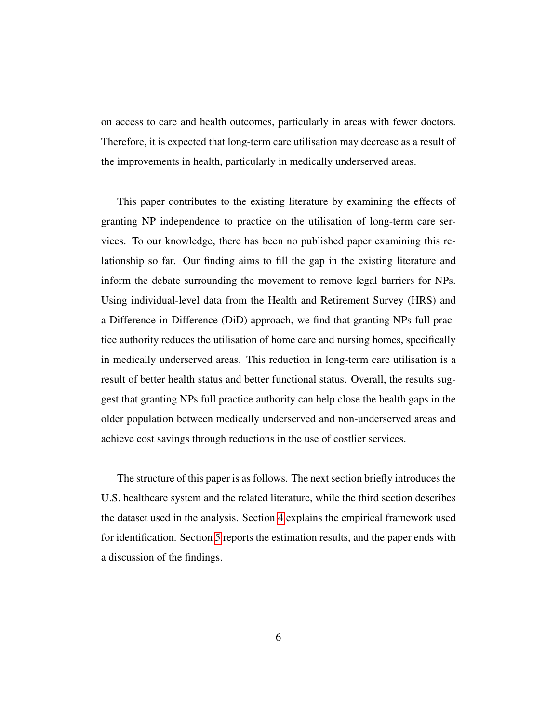on access to care and health outcomes, particularly in areas with fewer doctors. Therefore, it is expected that long-term care utilisation may decrease as a result of the improvements in health, particularly in medically underserved areas.

This paper contributes to the existing literature by examining the effects of granting NP independence to practice on the utilisation of long-term care services. To our knowledge, there has been no published paper examining this relationship so far. Our finding aims to fill the gap in the existing literature and inform the debate surrounding the movement to remove legal barriers for NPs. Using individual-level data from the Health and Retirement Survey (HRS) and a Difference-in-Difference (DiD) approach, we find that granting NPs full practice authority reduces the utilisation of home care and nursing homes, specifically in medically underserved areas. This reduction in long-term care utilisation is a result of better health status and better functional status. Overall, the results suggest that granting NPs full practice authority can help close the health gaps in the older population between medically underserved and non-underserved areas and achieve cost savings through reductions in the use of costlier services.

The structure of this paper is as follows. The next section briefly introduces the U.S. healthcare system and the related literature, while the third section describes the dataset used in the analysis. Section [4](#page-18-0) explains the empirical framework used for identification. Section [5](#page-20-0) reports the estimation results, and the paper ends with a discussion of the findings.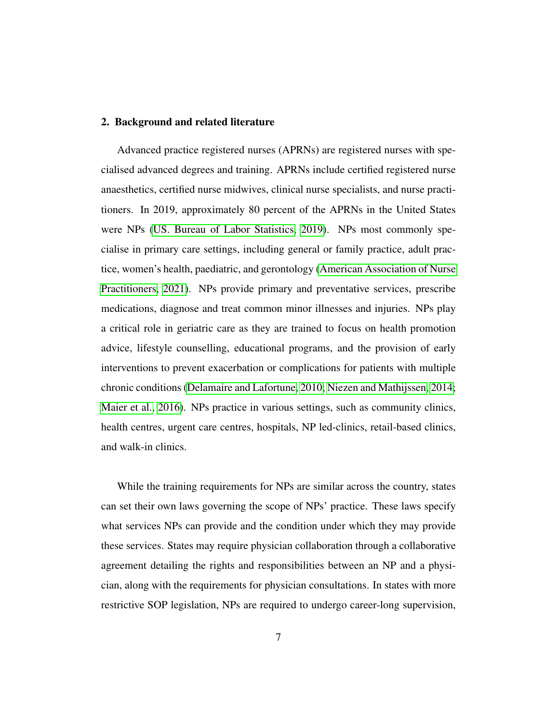#### 2. Background and related literature

Advanced practice registered nurses (APRNs) are registered nurses with specialised advanced degrees and training. APRNs include certified registered nurse anaesthetics, certified nurse midwives, clinical nurse specialists, and nurse practitioners. In 2019, approximately 80 percent of the APRNs in the United States were NPs [\(US. Bureau of Labor Statistics, 2019\)](#page-50-0). NPs most commonly specialise in primary care settings, including general or family practice, adult practice, women's health, paediatric, and gerontology [\(American Association of Nurse](#page-42-4) [Practitioners, 2021\)](#page-42-4). NPs provide primary and preventative services, prescribe medications, diagnose and treat common minor illnesses and injuries. NPs play a critical role in geriatric care as they are trained to focus on health promotion advice, lifestyle counselling, educational programs, and the provision of early interventions to prevent exacerbation or complications for patients with multiple chronic conditions [\(Delamaire and Lafortune, 2010;](#page-45-4) [Niezen and Mathijssen, 2014;](#page-48-0) [Maier et al., 2016\)](#page-47-0). NPs practice in various settings, such as community clinics, health centres, urgent care centres, hospitals, NP led-clinics, retail-based clinics, and walk-in clinics.

While the training requirements for NPs are similar across the country, states can set their own laws governing the scope of NPs' practice. These laws specify what services NPs can provide and the condition under which they may provide these services. States may require physician collaboration through a collaborative agreement detailing the rights and responsibilities between an NP and a physician, along with the requirements for physician consultations. In states with more restrictive SOP legislation, NPs are required to undergo career-long supervision,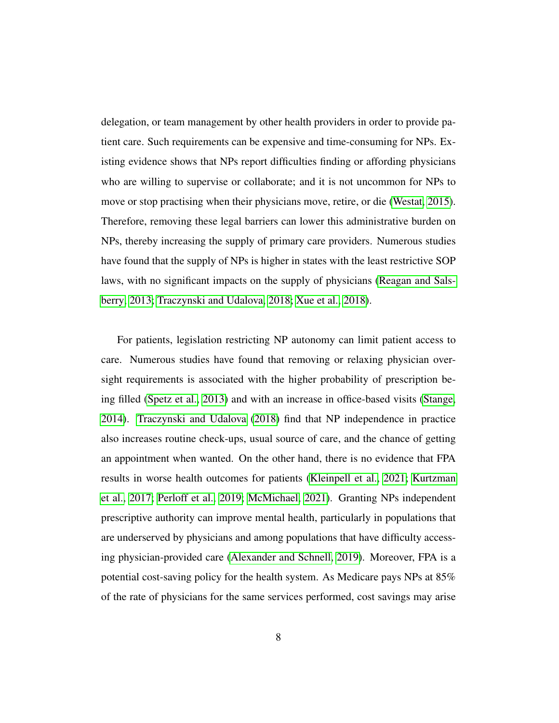delegation, or team management by other health providers in order to provide patient care. Such requirements can be expensive and time-consuming for NPs. Existing evidence shows that NPs report difficulties finding or affording physicians who are willing to supervise or collaborate; and it is not uncommon for NPs to move or stop practising when their physicians move, retire, or die [\(Westat, 2015\)](#page-51-2). Therefore, removing these legal barriers can lower this administrative burden on NPs, thereby increasing the supply of primary care providers. Numerous studies have found that the supply of NPs is higher in states with the least restrictive SOP laws, with no significant impacts on the supply of physicians [\(Reagan and Sals](#page-49-1)[berry, 2013;](#page-49-1) [Traczynski and Udalova, 2018;](#page-50-2) [Xue et al., 2018\)](#page-51-1).

For patients, legislation restricting NP autonomy can limit patient access to care. Numerous studies have found that removing or relaxing physician oversight requirements is associated with the higher probability of prescription being filled [\(Spetz et al., 2013\)](#page-50-3) and with an increase in office-based visits [\(Stange,](#page-50-4) [2014\)](#page-50-4). [Traczynski and Udalova](#page-50-2) [\(2018\)](#page-50-2) find that NP independence in practice also increases routine check-ups, usual source of care, and the chance of getting an appointment when wanted. On the other hand, there is no evidence that FPA results in worse health outcomes for patients [\(Kleinpell et al., 2021;](#page-46-0) [Kurtzman](#page-47-2) [et al., 2017;](#page-47-2) [Perloff et al., 2019;](#page-48-1) [McMichael, 2021\)](#page-48-2). Granting NPs independent prescriptive authority can improve mental health, particularly in populations that are underserved by physicians and among populations that have difficulty accessing physician-provided care [\(Alexander and Schnell, 2019\)](#page-42-3). Moreover, FPA is a potential cost-saving policy for the health system. As Medicare pays NPs at 85% of the rate of physicians for the same services performed, cost savings may arise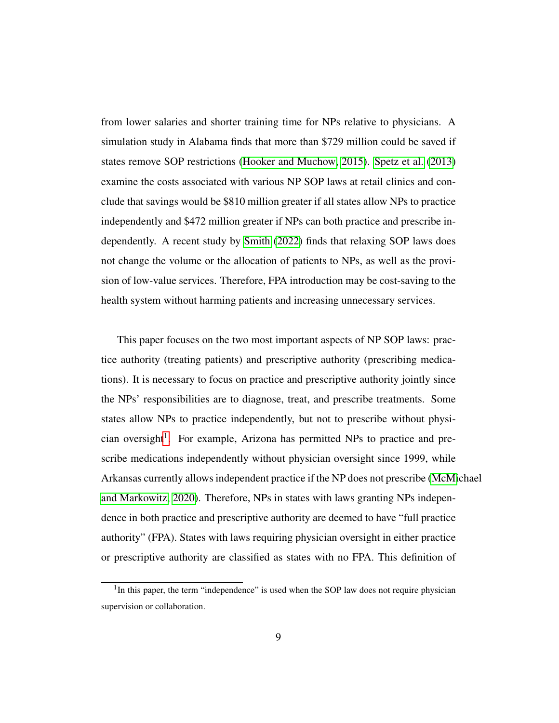from lower salaries and shorter training time for NPs relative to physicians. A simulation study in Alabama finds that more than \$729 million could be saved if states remove SOP restrictions [\(Hooker and Muchow, 2015\)](#page-45-5). [Spetz et al.](#page-50-3) [\(2013\)](#page-50-3) examine the costs associated with various NP SOP laws at retail clinics and conclude that savings would be \$810 million greater if all states allow NPs to practice independently and \$472 million greater if NPs can both practice and prescribe independently. A recent study by [Smith](#page-50-5) [\(2022\)](#page-50-5) finds that relaxing SOP laws does not change the volume or the allocation of patients to NPs, as well as the provision of low-value services. Therefore, FPA introduction may be cost-saving to the health system without harming patients and increasing unnecessary services.

This paper focuses on the two most important aspects of NP SOP laws: practice authority (treating patients) and prescriptive authority (prescribing medications). It is necessary to focus on practice and prescriptive authority jointly since the NPs' responsibilities are to diagnose, treat, and prescribe treatments. Some states allow NPs to practice independently, but not to prescribe without physi-cian oversight<sup>[1](#page-8-0)</sup>. For example, Arizona has permitted NPs to practice and prescribe medications independently without physician oversight since 1999, while Arkansas currently allows independent practice if the NP does not prescribe [\(McMi](#page-48-3)chael [and Markowitz, 2020\)](#page-48-3). Therefore, NPs in states with laws granting NPs independence in both practice and prescriptive authority are deemed to have "full practice authority" (FPA). States with laws requiring physician oversight in either practice or prescriptive authority are classified as states with no FPA. This definition of

<span id="page-8-0"></span><sup>&</sup>lt;sup>1</sup>In this paper, the term "independence" is used when the SOP law does not require physician supervision or collaboration.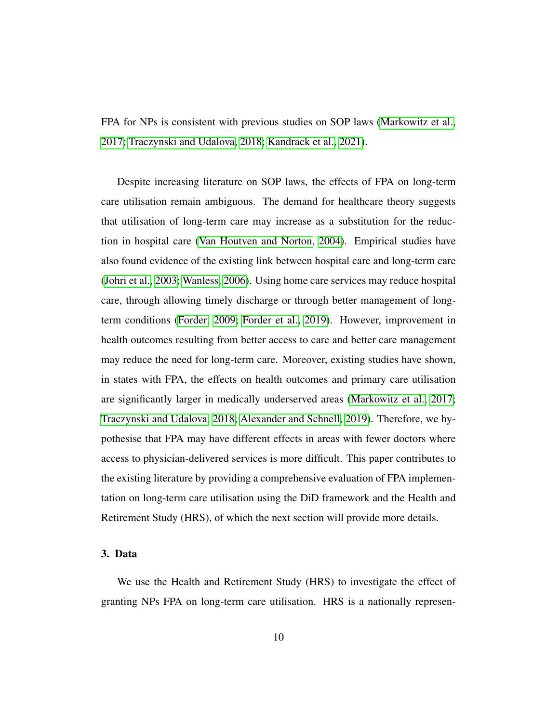FPA for NPs is consistent with previous studies on SOP laws [\(Markowitz et al.,](#page-47-3) [2017;](#page-47-3) [Traczynski and Udalova, 2018;](#page-50-2) [Kandrack et al., 2021\)](#page-46-1).

Despite increasing literature on SOP laws, the effects of FPA on long-term care utilisation remain ambiguous. The demand for healthcare theory suggests that utilisation of long-term care may increase as a substitution for the reduction in hospital care [\(Van Houtven and Norton, 2004\)](#page-51-3). Empirical studies have also found evidence of the existing link between hospital care and long-term care [\(Johri et al., 2003;](#page-46-2) [Wanless, 2006\)](#page-51-4). Using home care services may reduce hospital care, through allowing timely discharge or through better management of longterm conditions [\(Forder, 2009;](#page-45-3) [Forder et al., 2019\)](#page-45-6). However, improvement in health outcomes resulting from better access to care and better care management may reduce the need for long-term care. Moreover, existing studies have shown, in states with FPA, the effects on health outcomes and primary care utilisation are significantly larger in medically underserved areas [\(Markowitz et al., 2017;](#page-47-3) [Traczynski and Udalova, 2018;](#page-50-2) [Alexander and Schnell, 2019\)](#page-42-3). Therefore, we hypothesise that FPA may have different effects in areas with fewer doctors where access to physician-delivered services is more difficult. This paper contributes to the existing literature by providing a comprehensive evaluation of FPA implementation on long-term care utilisation using the DiD framework and the Health and Retirement Study (HRS), of which the next section will provide more details.

#### 3. Data

We use the Health and Retirement Study (HRS) to investigate the effect of granting NPs FPA on long-term care utilisation. HRS is a nationally represen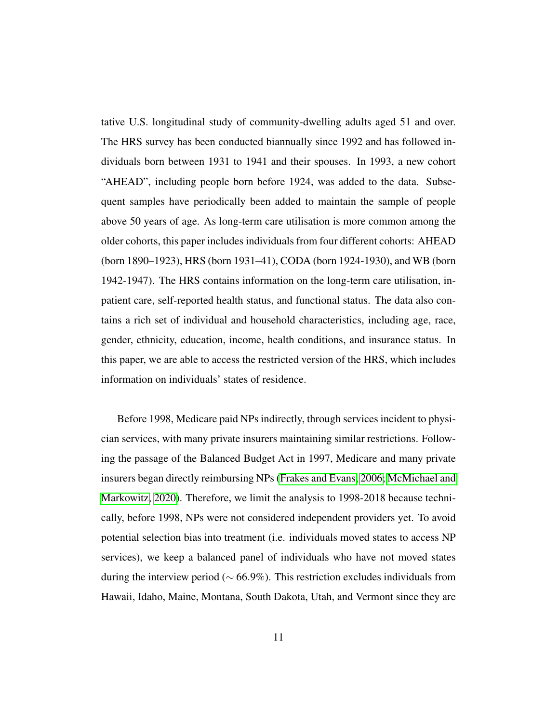tative U.S. longitudinal study of community-dwelling adults aged 51 and over. The HRS survey has been conducted biannually since 1992 and has followed individuals born between 1931 to 1941 and their spouses. In 1993, a new cohort "AHEAD", including people born before 1924, was added to the data. Subsequent samples have periodically been added to maintain the sample of people above 50 years of age. As long-term care utilisation is more common among the older cohorts, this paper includes individuals from four different cohorts: AHEAD (born 1890–1923), HRS (born 1931–41), CODA (born 1924-1930), and WB (born 1942-1947). The HRS contains information on the long-term care utilisation, inpatient care, self-reported health status, and functional status. The data also contains a rich set of individual and household characteristics, including age, race, gender, ethnicity, education, income, health conditions, and insurance status. In this paper, we are able to access the restricted version of the HRS, which includes information on individuals' states of residence.

Before 1998, Medicare paid NPs indirectly, through services incident to physician services, with many private insurers maintaining similar restrictions. Following the passage of the Balanced Budget Act in 1997, Medicare and many private insurers began directly reimbursing NPs [\(Frakes and Evans, 2006;](#page-45-7) [McMichael and](#page-48-3) [Markowitz, 2020\)](#page-48-3). Therefore, we limit the analysis to 1998-2018 because technically, before 1998, NPs were not considered independent providers yet. To avoid potential selection bias into treatment (i.e. individuals moved states to access NP services), we keep a balanced panel of individuals who have not moved states during the interview period ( $\sim 66.9\%$ ). This restriction excludes individuals from Hawaii, Idaho, Maine, Montana, South Dakota, Utah, and Vermont since they are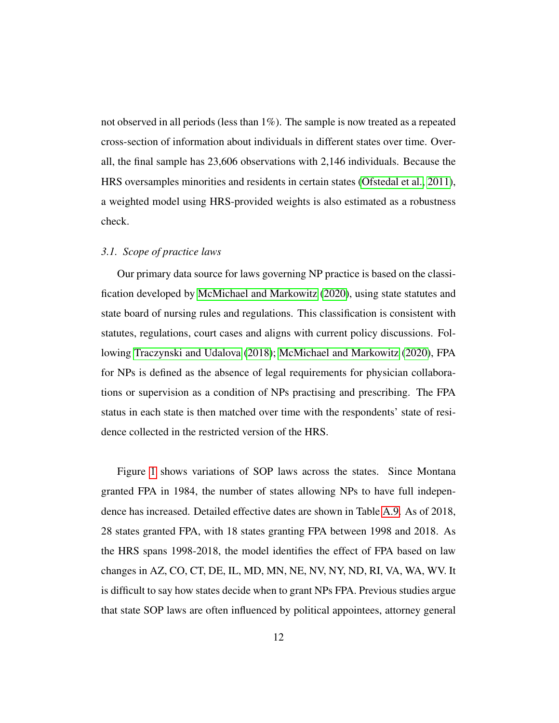not observed in all periods (less than 1%). The sample is now treated as a repeated cross-section of information about individuals in different states over time. Overall, the final sample has 23,606 observations with 2,146 individuals. Because the HRS oversamples minorities and residents in certain states [\(Ofstedal et al., 2011\)](#page-48-4), a weighted model using HRS-provided weights is also estimated as a robustness check.

#### *3.1. Scope of practice laws*

Our primary data source for laws governing NP practice is based on the classification developed by [McMichael and Markowitz](#page-48-3) [\(2020\)](#page-48-3), using state statutes and state board of nursing rules and regulations. This classification is consistent with statutes, regulations, court cases and aligns with current policy discussions. Following [Traczynski and Udalova](#page-50-2) [\(2018\)](#page-50-2); [McMichael and Markowitz](#page-48-3) [\(2020\)](#page-48-3), FPA for NPs is defined as the absence of legal requirements for physician collaborations or supervision as a condition of NPs practising and prescribing. The FPA status in each state is then matched over time with the respondents' state of residence collected in the restricted version of the HRS.

Figure [1](#page-12-0) shows variations of SOP laws across the states. Since Montana granted FPA in 1984, the number of states allowing NPs to have full independence has increased. Detailed effective dates are shown in Table [A.9.](#page-35-0) As of 2018, 28 states granted FPA, with 18 states granting FPA between 1998 and 2018. As the HRS spans 1998-2018, the model identifies the effect of FPA based on law changes in AZ, CO, CT, DE, IL, MD, MN, NE, NV, NY, ND, RI, VA, WA, WV. It is difficult to say how states decide when to grant NPs FPA. Previous studies argue that state SOP laws are often influenced by political appointees, attorney general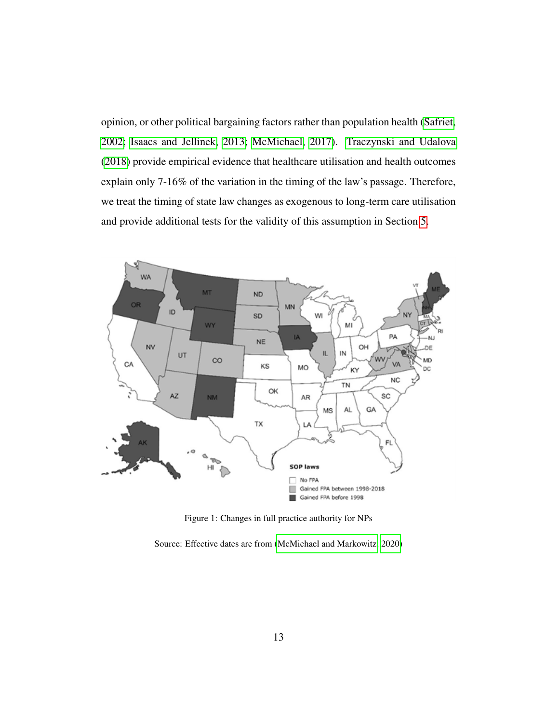opinion, or other political bargaining factors rather than population health [\(Safriet,](#page-49-2) [2002;](#page-49-2) [Isaacs and Jellinek, 2013;](#page-46-3) [McMichael, 2017\)](#page-48-5). [Traczynski and Udalova](#page-50-2) [\(2018\)](#page-50-2) provide empirical evidence that healthcare utilisation and health outcomes explain only 7-16% of the variation in the timing of the law's passage. Therefore, we treat the timing of state law changes as exogenous to long-term care utilisation and provide additional tests for the validity of this assumption in Section [5.](#page-20-0)

<span id="page-12-0"></span>

Figure 1: Changes in full practice authority for NPs

Source: Effective dates are from [\(McMichael and Markowitz, 2020\)](#page-48-3)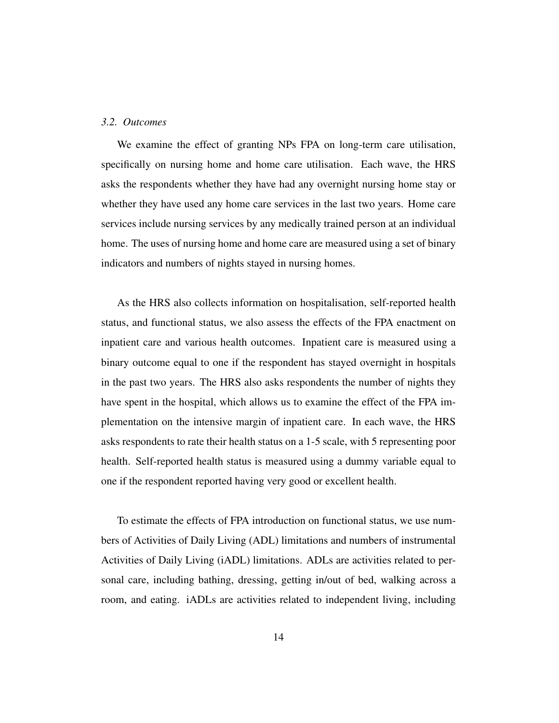#### *3.2. Outcomes*

We examine the effect of granting NPs FPA on long-term care utilisation, specifically on nursing home and home care utilisation. Each wave, the HRS asks the respondents whether they have had any overnight nursing home stay or whether they have used any home care services in the last two years. Home care services include nursing services by any medically trained person at an individual home. The uses of nursing home and home care are measured using a set of binary indicators and numbers of nights stayed in nursing homes.

As the HRS also collects information on hospitalisation, self-reported health status, and functional status, we also assess the effects of the FPA enactment on inpatient care and various health outcomes. Inpatient care is measured using a binary outcome equal to one if the respondent has stayed overnight in hospitals in the past two years. The HRS also asks respondents the number of nights they have spent in the hospital, which allows us to examine the effect of the FPA implementation on the intensive margin of inpatient care. In each wave, the HRS asks respondents to rate their health status on a 1-5 scale, with 5 representing poor health. Self-reported health status is measured using a dummy variable equal to one if the respondent reported having very good or excellent health.

To estimate the effects of FPA introduction on functional status, we use numbers of Activities of Daily Living (ADL) limitations and numbers of instrumental Activities of Daily Living (iADL) limitations. ADLs are activities related to personal care, including bathing, dressing, getting in/out of bed, walking across a room, and eating. iADLs are activities related to independent living, including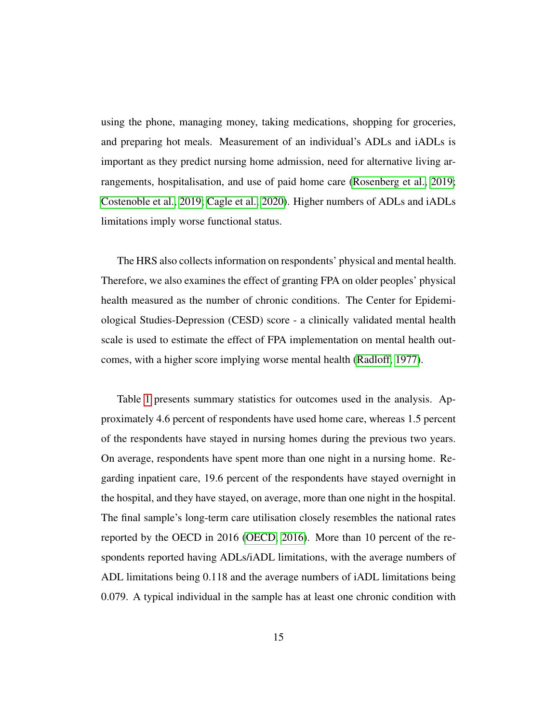using the phone, managing money, taking medications, shopping for groceries, and preparing hot meals. Measurement of an individual's ADLs and iADLs is important as they predict nursing home admission, need for alternative living arrangements, hospitalisation, and use of paid home care [\(Rosenberg et al., 2019;](#page-49-3) [Costenoble et al., 2019;](#page-44-4) [Cagle et al., 2020\)](#page-43-3). Higher numbers of ADLs and iADLs limitations imply worse functional status.

The HRS also collects information on respondents' physical and mental health. Therefore, we also examines the effect of granting FPA on older peoples' physical health measured as the number of chronic conditions. The Center for Epidemiological Studies-Depression (CESD) score - a clinically validated mental health scale is used to estimate the effect of FPA implementation on mental health outcomes, with a higher score implying worse mental health [\(Radloff, 1977\)](#page-49-4).

Table [1](#page-15-0) presents summary statistics for outcomes used in the analysis. Approximately 4.6 percent of respondents have used home care, whereas 1.5 percent of the respondents have stayed in nursing homes during the previous two years. On average, respondents have spent more than one night in a nursing home. Regarding inpatient care, 19.6 percent of the respondents have stayed overnight in the hospital, and they have stayed, on average, more than one night in the hospital. The final sample's long-term care utilisation closely resembles the national rates reported by the OECD in 2016 [\(OECD, 2016\)](#page-48-6). More than 10 percent of the respondents reported having ADLs/iADL limitations, with the average numbers of ADL limitations being 0.118 and the average numbers of iADL limitations being 0.079. A typical individual in the sample has at least one chronic condition with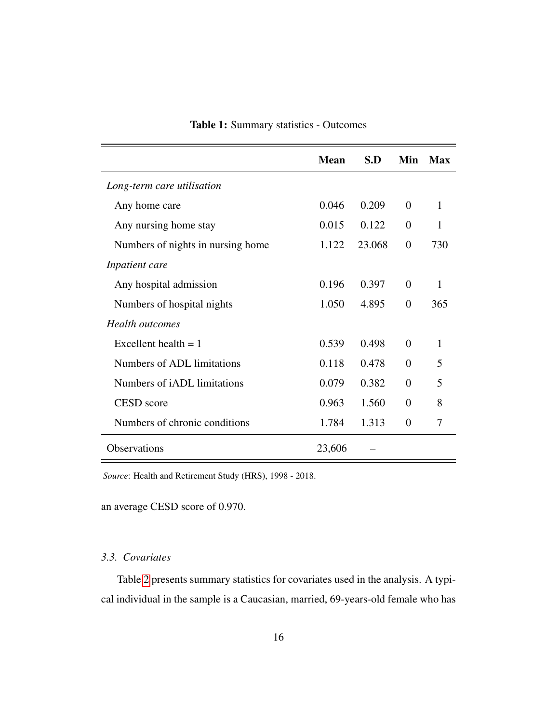<span id="page-15-0"></span>

|                                    | <b>Mean</b> | S.D    | Min            | Max |
|------------------------------------|-------------|--------|----------------|-----|
| Long-term care utilisation         |             |        |                |     |
| Any home care                      | 0.046       | 0.209  | $\theta$       | 1   |
| Any nursing home stay              | 0.015       | 0.122  | $\Omega$       | 1   |
| Numbers of nights in nursing home  | 1.122       | 23.068 | $\overline{0}$ | 730 |
| Inpatient care                     |             |        |                |     |
| Any hospital admission             | 0.196       | 0.397  | $\Omega$       | 1   |
| Numbers of hospital nights         | 1.050       | 4.895  | $\overline{0}$ | 365 |
| <b>Health</b> outcomes             |             |        |                |     |
| Excellent health $= 1$             | 0.539       | 0.498  | $\Omega$       | 1   |
| Numbers of ADL limitations         | 0.118       | 0.478  | $\Omega$       | 5   |
| Numbers of <i>iADL</i> limitations | 0.079       | 0.382  | $\theta$       | 5   |
| CESD score                         | 0.963       | 1.560  | $\Omega$       | 8   |
| Numbers of chronic conditions      | 1.784       | 1.313  | $\Omega$       | 7   |
| <b>Observations</b>                | 23,606      |        |                |     |

## Table 1: Summary statistics - Outcomes

*Source*: Health and Retirement Study (HRS), 1998 - 2018.

an average CESD score of 0.970.

## *3.3. Covariates*

Table [2](#page-16-0) presents summary statistics for covariates used in the analysis. A typical individual in the sample is a Caucasian, married, 69-years-old female who has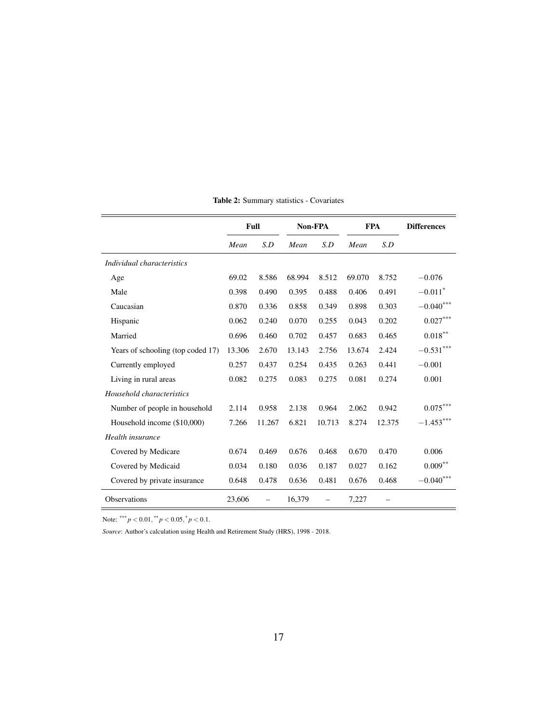<span id="page-16-0"></span>

|                                   |        | Full   | Non-FPA |        | <b>FPA</b> |        | <b>Differences</b>      |
|-----------------------------------|--------|--------|---------|--------|------------|--------|-------------------------|
|                                   | Mean   | S.D    | Mean    | S.D    | Mean       | S.D    |                         |
| Individual characteristics        |        |        |         |        |            |        |                         |
| Age                               | 69.02  | 8.586  | 68.994  | 8.512  | 69.070     | 8.752  | $-0.076$                |
| Male                              | 0.398  | 0.490  | 0.395   | 0.488  | 0.406      | 0.491  | $-0.011$ <sup>*</sup>   |
| Caucasian                         | 0.870  | 0.336  | 0.858   | 0.349  | 0.898      | 0.303  | $-0.040^{***}\,$        |
| Hispanic                          | 0.062  | 0.240  | 0.070   | 0.255  | 0.043      | 0.202  | $0.027***$              |
| Married                           | 0.696  | 0.460  | 0.702   | 0.457  | 0.683      | 0.465  | $0.018^{\ast\ast}$      |
| Years of schooling (top coded 17) | 13.306 | 2.670  | 13.143  | 2.756  | 13.674     | 2.424  | $-0.531***$             |
| Currently employed                | 0.257  | 0.437  | 0.254   | 0.435  | 0.263      | 0.441  | $-0.001$                |
| Living in rural areas             | 0.082  | 0.275  | 0.083   | 0.275  | 0.081      | 0.274  | 0.001                   |
| Household characteristics         |        |        |         |        |            |        |                         |
| Number of people in household     | 2.114  | 0.958  | 2.138   | 0.964  | 2.062      | 0.942  | $0.075^{***}$           |
| Household income (\$10,000)       | 7.266  | 11.267 | 6.821   | 10.713 | 8.274      | 12.375 | $-1.453***$             |
| Health insurance                  |        |        |         |        |            |        |                         |
| Covered by Medicare               | 0.674  | 0.469  | 0.676   | 0.468  | 0.670      | 0.470  | 0.006                   |
| Covered by Medicaid               | 0.034  | 0.180  | 0.036   | 0.187  | 0.027      | 0.162  | $0.009^{**}$            |
| Covered by private insurance      | 0.648  | 0.478  | 0.636   | 0.481  | 0.676      | 0.468  | $-0.040^{\ast\ast\ast}$ |
| <b>Observations</b>               | 23,606 |        | 16,379  |        | 7,227      |        |                         |

Table 2: Summary statistics - Covariates

Note:  $*** p < 0.01, ** p < 0.05, * p < 0.1$ .

*Source*: Author's calculation using Health and Retirement Study (HRS), 1998 - 2018.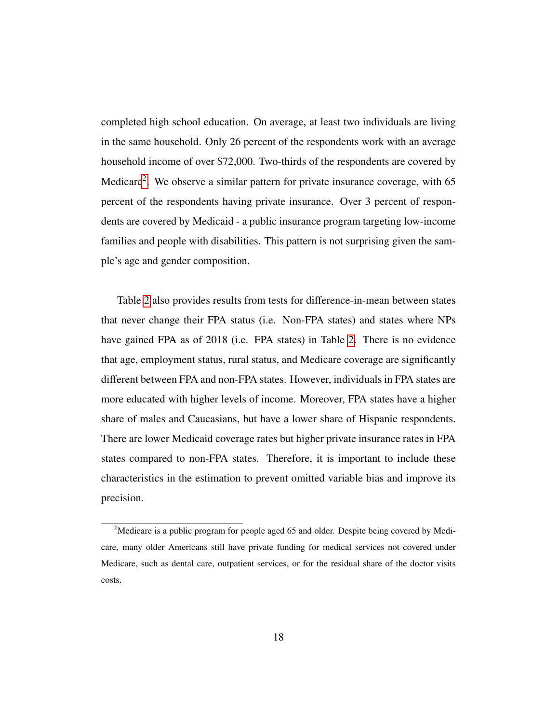completed high school education. On average, at least two individuals are living in the same household. Only 26 percent of the respondents work with an average household income of over \$72,000. Two-thirds of the respondents are covered by Medicare<sup>[2](#page-17-0)</sup>. We observe a similar pattern for private insurance coverage, with 65 percent of the respondents having private insurance. Over 3 percent of respondents are covered by Medicaid - a public insurance program targeting low-income families and people with disabilities. This pattern is not surprising given the sample's age and gender composition.

Table [2](#page-16-0) also provides results from tests for difference-in-mean between states that never change their FPA status (i.e. Non-FPA states) and states where NPs have gained FPA as of 2018 (i.e. FPA states) in Table [2.](#page-16-0) There is no evidence that age, employment status, rural status, and Medicare coverage are significantly different between FPA and non-FPA states. However, individuals in FPA states are more educated with higher levels of income. Moreover, FPA states have a higher share of males and Caucasians, but have a lower share of Hispanic respondents. There are lower Medicaid coverage rates but higher private insurance rates in FPA states compared to non-FPA states. Therefore, it is important to include these characteristics in the estimation to prevent omitted variable bias and improve its precision.

<span id="page-17-0"></span><sup>&</sup>lt;sup>2</sup>Medicare is a public program for people aged 65 and older. Despite being covered by Medicare, many older Americans still have private funding for medical services not covered under Medicare, such as dental care, outpatient services, or for the residual share of the doctor visits costs.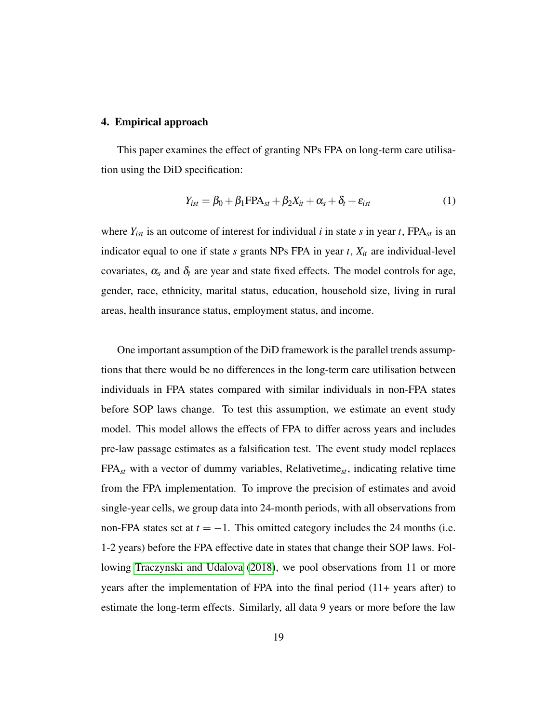#### <span id="page-18-0"></span>4. Empirical approach

This paper examines the effect of granting NPs FPA on long-term care utilisation using the DiD specification:

<span id="page-18-1"></span>
$$
Y_{ist} = \beta_0 + \beta_1 \text{FPA}_{st} + \beta_2 X_{it} + \alpha_s + \delta_t + \varepsilon_{ist}
$$
 (1)

where  $Y_{ist}$  is an outcome of interest for individual *i* in state *s* in year *t*, FPA<sub>*st*</sub> is an indicator equal to one if state *s* grants NPs FPA in year *t*, *Xit* are individual-level covariates,  $\alpha_s$  and  $\delta_t$  are year and state fixed effects. The model controls for age, gender, race, ethnicity, marital status, education, household size, living in rural areas, health insurance status, employment status, and income.

One important assumption of the DiD framework is the parallel trends assumptions that there would be no differences in the long-term care utilisation between individuals in FPA states compared with similar individuals in non-FPA states before SOP laws change. To test this assumption, we estimate an event study model. This model allows the effects of FPA to differ across years and includes pre-law passage estimates as a falsification test. The event study model replaces FPA*st* with a vector of dummy variables, Relativetime*st*, indicating relative time from the FPA implementation. To improve the precision of estimates and avoid single-year cells, we group data into 24-month periods, with all observations from non-FPA states set at  $t = -1$ . This omitted category includes the 24 months (i.e. 1-2 years) before the FPA effective date in states that change their SOP laws. Following [Traczynski and Udalova](#page-50-2) [\(2018\)](#page-50-2), we pool observations from 11 or more years after the implementation of FPA into the final period (11+ years after) to estimate the long-term effects. Similarly, all data 9 years or more before the law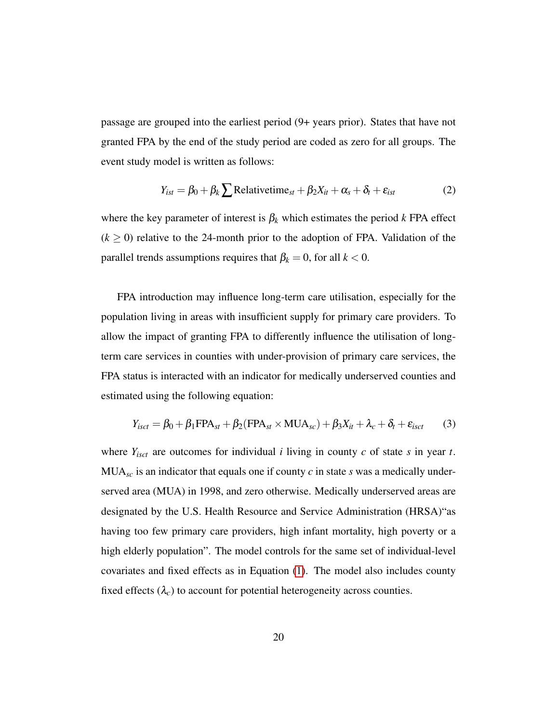passage are grouped into the earliest period (9+ years prior). States that have not granted FPA by the end of the study period are coded as zero for all groups. The event study model is written as follows:

<span id="page-19-0"></span>
$$
Y_{ist} = \beta_0 + \beta_k \sum \text{Relativetime}_{st} + \beta_2 X_{it} + \alpha_s + \delta_t + \varepsilon_{ist}
$$
 (2)

where the key parameter of interest is  $\beta_k$  which estimates the period  $k$  FPA effect  $(k \ge 0)$  relative to the 24-month prior to the adoption of FPA. Validation of the parallel trends assumptions requires that  $\beta_k = 0$ , for all  $k < 0$ .

FPA introduction may influence long-term care utilisation, especially for the population living in areas with insufficient supply for primary care providers. To allow the impact of granting FPA to differently influence the utilisation of longterm care services in counties with under-provision of primary care services, the FPA status is interacted with an indicator for medically underserved counties and estimated using the following equation:

<span id="page-19-1"></span>
$$
Y_{isct} = \beta_0 + \beta_1 \text{FPA}_{st} + \beta_2 (\text{FPA}_{st} \times \text{MUA}_{sc}) + \beta_3 X_{it} + \lambda_c + \delta_t + \varepsilon_{isct}
$$
 (3)

where *Yisct* are outcomes for individual *i* living in county *c* of state *s* in year *t*. MUA*sc* is an indicator that equals one if county *c* in state *s* was a medically underserved area (MUA) in 1998, and zero otherwise. Medically underserved areas are designated by the U.S. Health Resource and Service Administration (HRSA)"as having too few primary care providers, high infant mortality, high poverty or a high elderly population". The model controls for the same set of individual-level covariates and fixed effects as in Equation [\(1\)](#page-18-1). The model also includes county fixed effects  $(\lambda_c)$  to account for potential heterogeneity across counties.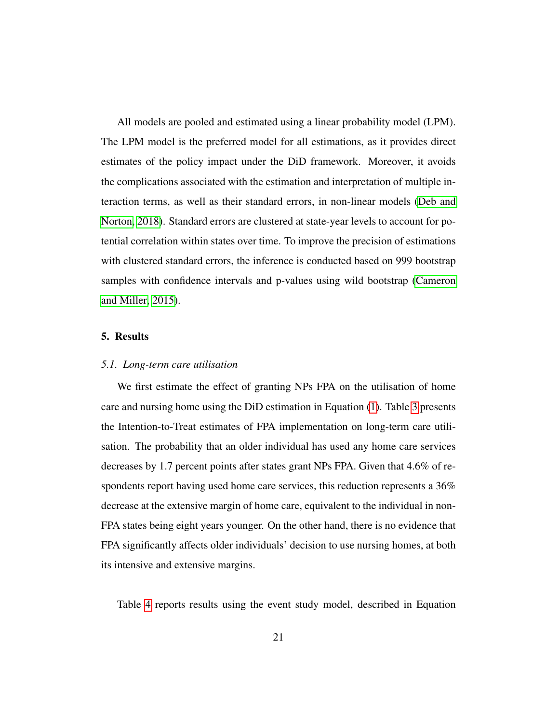All models are pooled and estimated using a linear probability model (LPM). The LPM model is the preferred model for all estimations, as it provides direct estimates of the policy impact under the DiD framework. Moreover, it avoids the complications associated with the estimation and interpretation of multiple interaction terms, as well as their standard errors, in non-linear models [\(Deb and](#page-44-5) [Norton, 2018\)](#page-44-5). Standard errors are clustered at state-year levels to account for potential correlation within states over time. To improve the precision of estimations with clustered standard errors, the inference is conducted based on 999 bootstrap samples with confidence intervals and p-values using wild bootstrap [\(Cameron](#page-43-4) [and Miller, 2015\)](#page-43-4).

#### <span id="page-20-0"></span>5. Results

#### *5.1. Long-term care utilisation*

We first estimate the effect of granting NPs FPA on the utilisation of home care and nursing home using the DiD estimation in Equation [\(1\)](#page-18-1). Table [3](#page-21-0) presents the Intention-to-Treat estimates of FPA implementation on long-term care utilisation. The probability that an older individual has used any home care services decreases by 1.7 percent points after states grant NPs FPA. Given that 4.6% of respondents report having used home care services, this reduction represents a 36% decrease at the extensive margin of home care, equivalent to the individual in non-FPA states being eight years younger. On the other hand, there is no evidence that FPA significantly affects older individuals' decision to use nursing homes, at both its intensive and extensive margins.

Table [4](#page-22-0) reports results using the event study model, described in Equation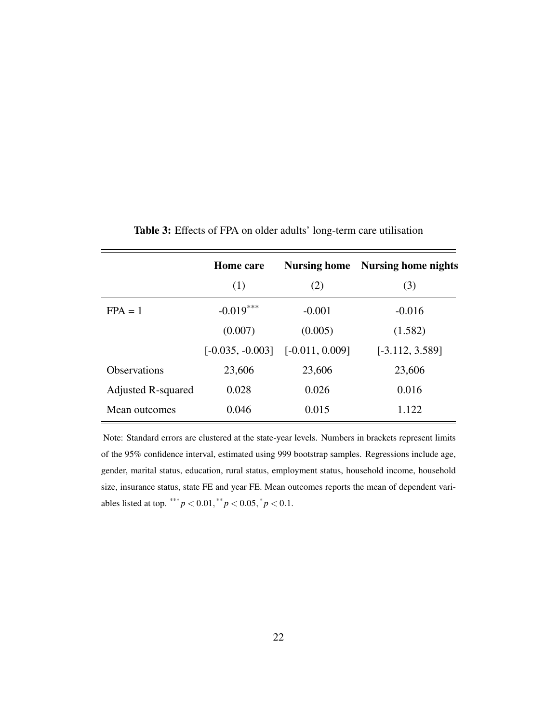|                           | <b>Home care</b>   |                   | <b>Nursing home</b> Nursing home nights |
|---------------------------|--------------------|-------------------|-----------------------------------------|
|                           | (1)                | (2)               | (3)                                     |
| $FPA = 1$                 | $-0.019***$        | $-0.001$          | $-0.016$                                |
|                           | (0.007)            | (0.005)           | (1.582)                                 |
|                           | $[-0.035, -0.003]$ | $[-0.011, 0.009]$ | $[-3.112, 3.589]$                       |
| <b>Observations</b>       | 23,606             | 23,606            | 23,606                                  |
| <b>Adjusted R-squared</b> | 0.028              | 0.026             | 0.016                                   |
| Mean outcomes             | 0.046              | 0.015             | 1.122                                   |

<span id="page-21-0"></span>Table 3: Effects of FPA on older adults' long-term care utilisation

Note: Standard errors are clustered at the state-year levels. Numbers in brackets represent limits of the 95% confidence interval, estimated using 999 bootstrap samples. Regressions include age, gender, marital status, education, rural status, employment status, household income, household size, insurance status, state FE and year FE. Mean outcomes reports the mean of dependent variables listed at top.  $*** p < 0.01,$   $** p < 0.05,$   $p < 0.1$ .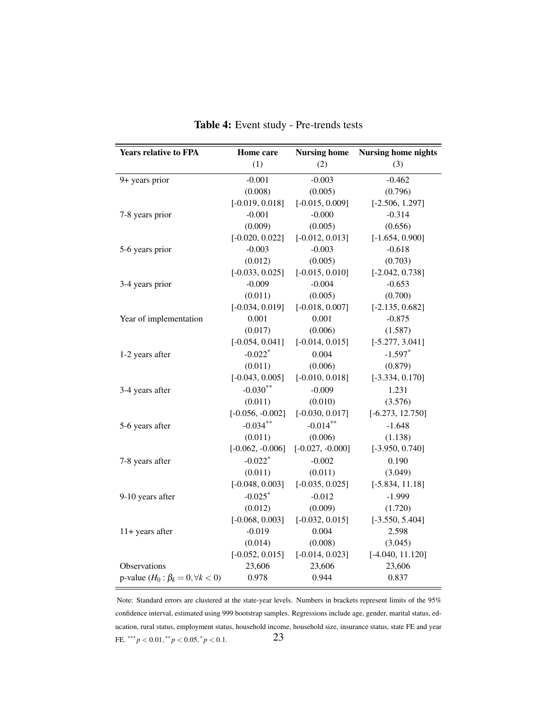<span id="page-22-0"></span>

| <b>Years relative to FPA</b>                | Home care             | <b>Nursing home</b>                     | <b>Nursing home nights</b> |
|---------------------------------------------|-----------------------|-----------------------------------------|----------------------------|
|                                             | (1)                   | (2)                                     | (3)                        |
| 9+ years prior                              | $-0.001$              | $-0.003$                                | $-0.462$                   |
|                                             | (0.008)               | (0.005)                                 | (0.796)                    |
|                                             | $[-0.019, 0.018]$     | $[-0.015, 0.009]$                       | $[-2.506, 1.297]$          |
| 7-8 years prior                             | $-0.001$              | $-0.000$                                | $-0.314$                   |
|                                             | (0.009)               | (0.005)                                 | (0.656)                    |
|                                             | $[-0.020, 0.022]$     | $[-0.012, 0.013]$                       | $[-1.654, 0.900]$          |
| 5-6 years prior                             | $-0.003$              | $-0.003$                                | $-0.618$                   |
|                                             | (0.012)               | (0.005)                                 | (0.703)                    |
|                                             | $[-0.033, 0.025]$     | $[-0.015, 0.010]$                       | $[-2.042, 0.738]$          |
| 3-4 years prior                             | $-0.009$              | $-0.004$                                | $-0.653$                   |
|                                             | (0.011)               | (0.005)                                 | (0.700)                    |
|                                             | $[-0.034, 0.019]$     | $[-0.018, 0.007]$                       | $[-2.135, 0.682]$          |
| Year of implementation                      | 0.001                 | 0.001                                   | $-0.875$                   |
|                                             | (0.017)               | (0.006)                                 | (1.587)                    |
|                                             | $[-0.054, 0.041]$     | $[-0.014, 0.015]$                       | $[-5.277, 3.041]$          |
| 1-2 years after                             | $-0.022$ <sup>*</sup> | 0.004                                   | $-1.597$ <sup>*</sup>      |
|                                             | (0.011)               | (0.006)                                 | (0.879)                    |
|                                             | $[-0.043, 0.005]$     | $[-0.010, 0.018]$                       | $[-3.334, 0.170]$          |
| 3-4 years after                             | $-0.030**$            | $-0.009$                                | 1.231                      |
|                                             | (0.011)               | (0.010)                                 | (3.576)                    |
|                                             | $[-0.056, -0.002]$    | $[-0.030, 0.017]$<br>$[-6.273, 12.750]$ |                            |
| 5-6 years after                             | $-0.034***$           | $-0.014***$                             | $-1.648$                   |
|                                             | (0.011)               | (0.006)                                 | (1.138)                    |
|                                             | $[-0.062, -0.006]$    | $[-0.027, -0.000]$                      | $[-3.950, 0.740]$          |
| 7-8 years after                             | $-0.022$ <sup>*</sup> | $-0.002$                                | 0.190                      |
|                                             | (0.011)               | (0.011)                                 | (3.049)                    |
|                                             | $[-0.048, 0.003]$     | $[-0.035, 0.025]$                       | $[-5.834, 11.18]$          |
| 9-10 years after                            | $-0.025$ *            | $-0.012$                                | $-1.999$                   |
|                                             | (0.012)               | (0.009)                                 | (1.720)                    |
|                                             | $[-0.068, 0.003]$     | $[-0.032, 0.015]$                       | $[-3.550, 5.404]$          |
| 11+ years after                             | $-0.019$              | 0.004                                   | 2.598                      |
|                                             | (0.014)               | (0.008)                                 | (3.045)                    |
|                                             | $[-0.052, 0.015]$     | $[-0.014, 0.023]$                       | $[-4.040, 11.120]$         |
| Observations                                | 23,606                | 23,606                                  | 23,606                     |
| p-value $(H_0: \beta_k = 0, \forall k < 0)$ | 0.978                 | 0.944                                   | 0.837                      |

Table 4: Event study - Pre-trends tests

Note: Standard errors are clustered at the state-year levels. Numbers in brackets represent limits of the 95% confidence interval, estimated using 999 bootstrap samples. Regressions include age, gender, marital status, education, rural status, employment status, household income, household size, insurance status, state FE and year FE. \*\*\*  $p < 0.01$ , \*\*  $p < 0.05$ , \*  $p < 0.1$ . 23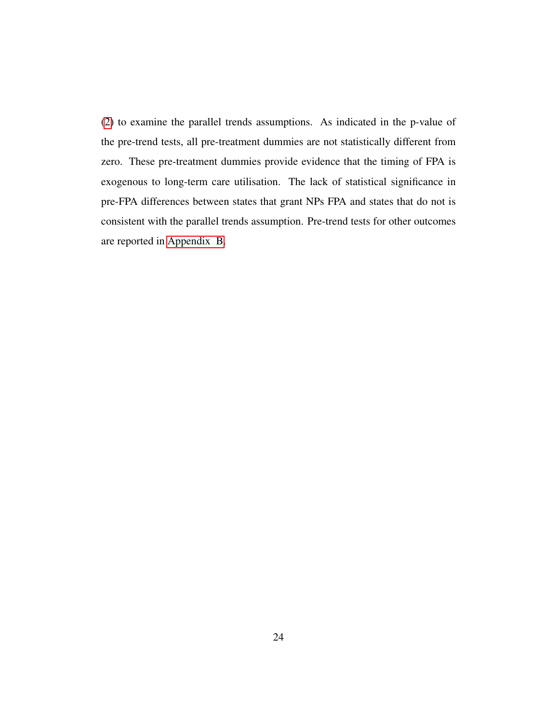[\(2\)](#page-19-0) to examine the parallel trends assumptions. As indicated in the p-value of the pre-trend tests, all pre-treatment dummies are not statistically different from zero. These pre-treatment dummies provide evidence that the timing of FPA is exogenous to long-term care utilisation. The lack of statistical significance in pre-FPA differences between states that grant NPs FPA and states that do not is consistent with the parallel trends assumption. Pre-trend tests for other outcomes are reported in [Appendix B.](#page-38-0)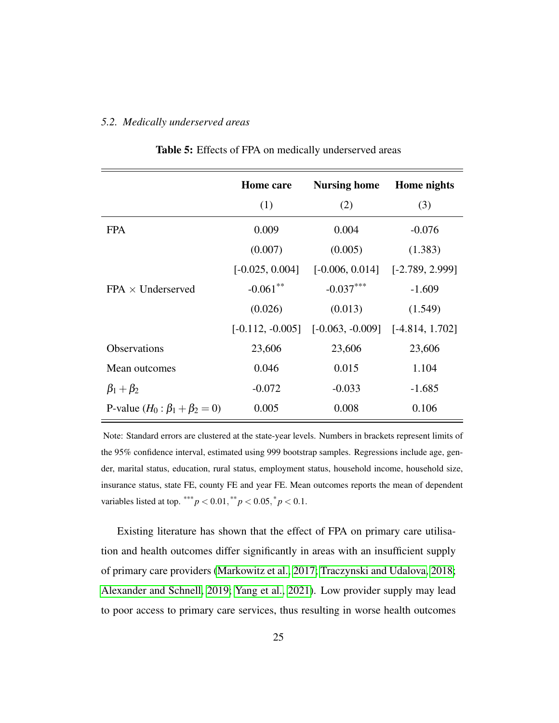#### <span id="page-24-0"></span>*5.2. Medically underserved areas*

|                                        | <b>Home</b> care   | <b>Nursing home</b> | Home nights       |
|----------------------------------------|--------------------|---------------------|-------------------|
|                                        | (1)                | (2)                 | (3)               |
| <b>FPA</b>                             | 0.009              | 0.004               | $-0.076$          |
|                                        | (0.007)            | (0.005)             | (1.383)           |
|                                        | $[-0.025, 0.004]$  | $[-0.006, 0.014]$   | $[-2.789, 2.999]$ |
| $FPA \times Underserved$               | $-0.061$ **        | $-0.037***$         | $-1.609$          |
|                                        | (0.026)            | (0.013)             | (1.549)           |
|                                        | $[-0.112, -0.005]$ | $[-0.063, -0.009]$  | $[-4.814, 1.702]$ |
| <b>Observations</b>                    | 23,606             | 23,606              | 23,606            |
| Mean outcomes                          | 0.046              | 0.015               | 1.104             |
| $\beta_1+\beta_2$                      | $-0.072$           | $-0.033$            | $-1.685$          |
| P-value $(H_0: \beta_1 + \beta_2 = 0)$ | 0.005              | 0.008               | 0.106             |

Table 5: Effects of FPA on medically underserved areas

Note: Standard errors are clustered at the state-year levels. Numbers in brackets represent limits of the 95% confidence interval, estimated using 999 bootstrap samples. Regressions include age, gender, marital status, education, rural status, employment status, household income, household size, insurance status, state FE, county FE and year FE. Mean outcomes reports the mean of dependent variables listed at top. \*\*\*  $p < 0.01$ , \*\*  $p < 0.05$ ,  $p < 0.1$ .

Existing literature has shown that the effect of FPA on primary care utilisation and health outcomes differ significantly in areas with an insufficient supply of primary care providers [\(Markowitz et al., 2017;](#page-47-3) [Traczynski and Udalova, 2018;](#page-50-2) [Alexander and Schnell, 2019;](#page-42-3) [Yang et al., 2021\)](#page-51-5). Low provider supply may lead to poor access to primary care services, thus resulting in worse health outcomes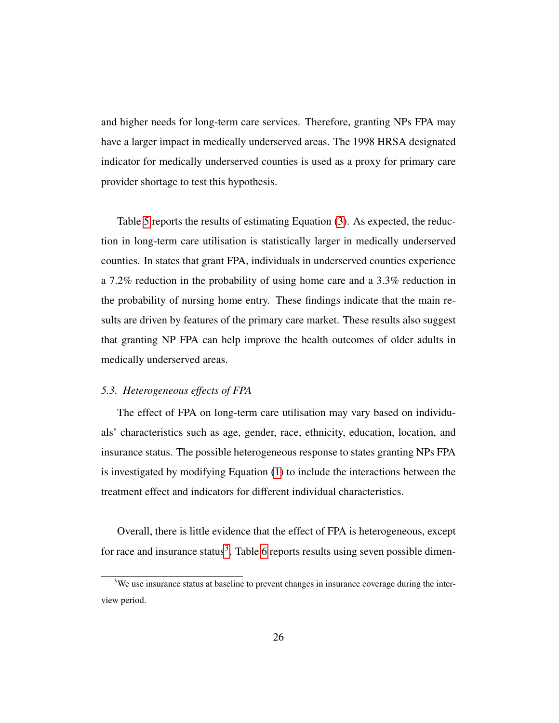and higher needs for long-term care services. Therefore, granting NPs FPA may have a larger impact in medically underserved areas. The 1998 HRSA designated indicator for medically underserved counties is used as a proxy for primary care provider shortage to test this hypothesis.

Table [5](#page-24-0) reports the results of estimating Equation [\(3\)](#page-19-1). As expected, the reduction in long-term care utilisation is statistically larger in medically underserved counties. In states that grant FPA, individuals in underserved counties experience a 7.2% reduction in the probability of using home care and a 3.3% reduction in the probability of nursing home entry. These findings indicate that the main results are driven by features of the primary care market. These results also suggest that granting NP FPA can help improve the health outcomes of older adults in medically underserved areas.

#### *5.3. Heterogeneous effects of FPA*

The effect of FPA on long-term care utilisation may vary based on individuals' characteristics such as age, gender, race, ethnicity, education, location, and insurance status. The possible heterogeneous response to states granting NPs FPA is investigated by modifying Equation [\(1\)](#page-18-1) to include the interactions between the treatment effect and indicators for different individual characteristics.

Overall, there is little evidence that the effect of FPA is heterogeneous, except for race and insurance status<sup>[3](#page-25-0)</sup>. Table [6](#page-26-0) reports results using seven possible dimen-

<span id="page-25-0"></span> $3W$ e use insurance status at baseline to prevent changes in insurance coverage during the interview period.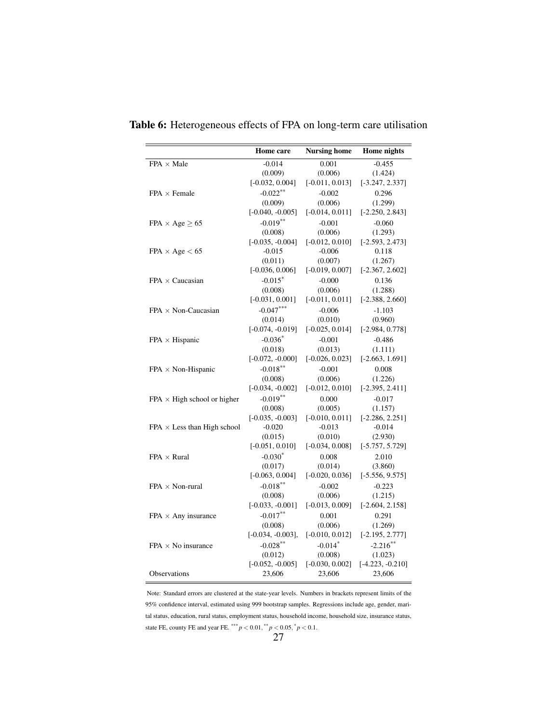|                                     | <b>Home</b> care    | <b>Nursing home</b> | Home nights        |
|-------------------------------------|---------------------|---------------------|--------------------|
| $FPA \times Male$                   | $-0.014$            | 0.001               | $-0.455$           |
|                                     | (0.009)             | (0.006)             | (1.424)            |
|                                     | $[-0.032, 0.004]$   | $[-0.011, 0.013]$   | $[-3.247, 2.337]$  |
| $FPA \times Female$                 | $-0.022***$         | $-0.002$            | 0.296              |
|                                     | (0.009)             | (0.006)             | (1.299)            |
|                                     | $[-0.040, -0.005]$  | $[-0.014, 0.011]$   | $[-2.250, 2.843]$  |
| $FPA \times Age > 65$               | $-0.019**$          | $-0.001$            | $-0.060$           |
|                                     | (0.008)             | (0.006)             | (1.293)            |
|                                     | $[-0.035, -0.004]$  | $[-0.012, 0.010]$   | $[-2.593, 2.473]$  |
| $\text{FPA} \times \text{Age} < 65$ | $-0.015$            | $-0.006$            | 0.118              |
|                                     | (0.011)             | (0.007)             | (1.267)            |
|                                     | $[-0.036, 0.006]$   | $[-0.019, 0.007]$   | $[-2.367, 2.602]$  |
| $FPA \times Caucasian$              | $-0.015$ *          | $-0.000$            | 0.136              |
|                                     | (0.008)             | (0.006)             | (1.288)            |
|                                     | $[-0.031, 0.001]$   | $[-0.011, 0.011]$   | $[-2.388, 2.660]$  |
| $FPA \times Non-Caucasian$          | $-0.047***$         | $-0.006$            | $-1.103$           |
|                                     | (0.014)             | (0.010)             | (0.960)            |
|                                     | $[-0.074, -0.019]$  | $[-0.025, 0.014]$   | $[-2.984, 0.778]$  |
| $FPA \times Hispanic$               | $-0.036*$           | $-0.001$            | $-0.486$           |
|                                     | (0.018)             | (0.013)             | (1.111)            |
|                                     | $[-0.072, -0.000]$  | $[-0.026, 0.023]$   | $[-2.663, 1.691]$  |
| $FPA \times Non-Hispanic$           | $-0.018**$          | $-0.001$            | 0.008              |
|                                     | (0.008)             | (0.006)             | (1.226)            |
|                                     | $[-0.034, -0.002]$  | $[-0.012, 0.010]$   | $[-2.395, 2.411]$  |
| $FPA \times High school$ or higher  | $-0.019**$          | 0.000               | $-0.017$           |
|                                     | (0.008)             | (0.005)             | (1.157)            |
|                                     | $[-0.035, -0.003]$  | $[-0.010, 0.011]$   | $[-2.286, 2.251]$  |
| $FPA \times Less$ than High school  | $-0.020$            | $-0.013$            | $-0.014$           |
|                                     | (0.015)             | (0.010)             | (2.930)            |
|                                     | $[-0.051, 0.010]$   | $[-0.034, 0.008]$   | $[-5.757, 5.729]$  |
| $FPA \times Rural$                  | $-0.030*$           | 0.008               | 2.010              |
|                                     | (0.017)             | (0.014)             | (3.860)            |
|                                     | $[-0.063, 0.004]$   | $[-0.020, 0.036]$   | $[-5.556, 9.575]$  |
| $FPA \times Non-rural$              | $-0.018**$          | $-0.002$            | $-0.223$           |
|                                     | (0.008)             | (0.006)             | (1.215)            |
|                                     | $[-0.033, -0.001]$  | $[-0.013, 0.009]$   | $[-2.604, 2.158]$  |
| FPA $\times$ Any insurance          | $-0.017**$          | 0.001               | 0.291              |
|                                     | (0.008)             | (0.006)             | (1.269)            |
|                                     | $[-0.034, -0.003],$ | $[-0.010, 0.012]$   | $[-2.195, 2.777]$  |
| $FPA \times No$ insurance           | $-0.028**$          | $-0.014*$           | $-2.216**$         |
|                                     | (0.012)             | (0.008)             | (1.023)            |
|                                     | $[-0.052, -0.005]$  | $[-0.030, 0.002]$   | $[-4.223, -0.210]$ |
| Observations                        | 23,606              | 23,606              | 23,606             |

<span id="page-26-0"></span>Table 6: Heterogeneous effects of FPA on long-term care utilisation

Note: Standard errors are clustered at the state-year levels. Numbers in brackets represent limits of the 95% confidence interval, estimated using 999 bootstrap samples. Regressions include age, gender, marital status, education, rural status, employment status, household income, household size, insurance status, state FE, county FE and year FE. \*\*\*  $p < 0.01$ , \*\*  $p < 0.05$ , \*  $p < 0.1$ .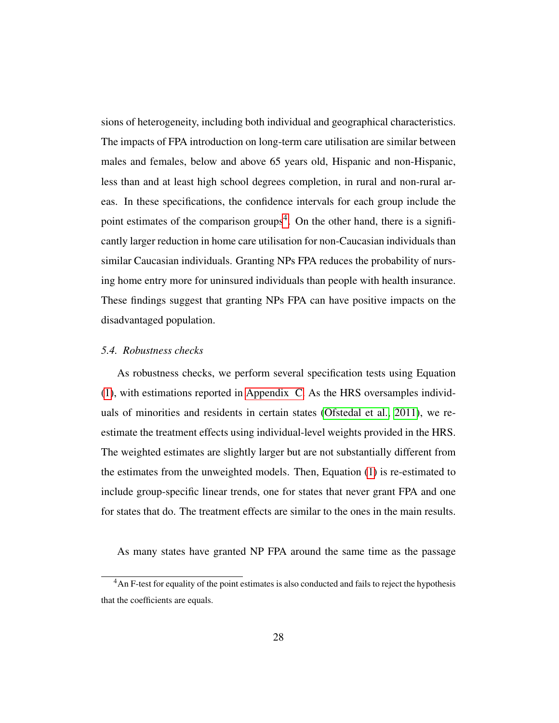sions of heterogeneity, including both individual and geographical characteristics. The impacts of FPA introduction on long-term care utilisation are similar between males and females, below and above 65 years old, Hispanic and non-Hispanic, less than and at least high school degrees completion, in rural and non-rural areas. In these specifications, the confidence intervals for each group include the point estimates of the comparison groups<sup>[4](#page-27-0)</sup>. On the other hand, there is a significantly larger reduction in home care utilisation for non-Caucasian individuals than similar Caucasian individuals. Granting NPs FPA reduces the probability of nursing home entry more for uninsured individuals than people with health insurance. These findings suggest that granting NPs FPA can have positive impacts on the disadvantaged population.

#### *5.4. Robustness checks*

As robustness checks, we perform several specification tests using Equation [\(1\)](#page-18-1), with estimations reported in [Appendix C.](#page-40-0) As the HRS oversamples individuals of minorities and residents in certain states [\(Ofstedal et al., 2011\)](#page-48-4), we reestimate the treatment effects using individual-level weights provided in the HRS. The weighted estimates are slightly larger but are not substantially different from the estimates from the unweighted models. Then, Equation [\(1\)](#page-18-1) is re-estimated to include group-specific linear trends, one for states that never grant FPA and one for states that do. The treatment effects are similar to the ones in the main results.

As many states have granted NP FPA around the same time as the passage

<span id="page-27-0"></span><sup>&</sup>lt;sup>4</sup>An F-test for equality of the point estimates is also conducted and fails to reject the hypothesis that the coefficients are equals.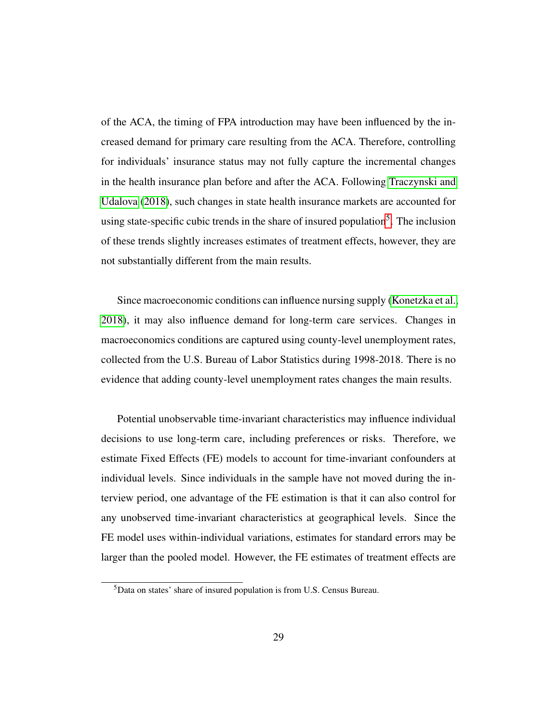of the ACA, the timing of FPA introduction may have been influenced by the increased demand for primary care resulting from the ACA. Therefore, controlling for individuals' insurance status may not fully capture the incremental changes in the health insurance plan before and after the ACA. Following [Traczynski and](#page-50-2) [Udalova](#page-50-2) [\(2018\)](#page-50-2), such changes in state health insurance markets are accounted for using state-specific cubic trends in the share of insured population<sup>[5](#page-28-0)</sup>. The inclusion of these trends slightly increases estimates of treatment effects, however, they are not substantially different from the main results.

Since macroeconomic conditions can influence nursing supply [\(Konetzka et al.,](#page-47-4) [2018\)](#page-47-4), it may also influence demand for long-term care services. Changes in macroeconomics conditions are captured using county-level unemployment rates, collected from the U.S. Bureau of Labor Statistics during 1998-2018. There is no evidence that adding county-level unemployment rates changes the main results.

Potential unobservable time-invariant characteristics may influence individual decisions to use long-term care, including preferences or risks. Therefore, we estimate Fixed Effects (FE) models to account for time-invariant confounders at individual levels. Since individuals in the sample have not moved during the interview period, one advantage of the FE estimation is that it can also control for any unobserved time-invariant characteristics at geographical levels. Since the FE model uses within-individual variations, estimates for standard errors may be larger than the pooled model. However, the FE estimates of treatment effects are

<span id="page-28-0"></span><sup>5</sup>Data on states' share of insured population is from U.S. Census Bureau.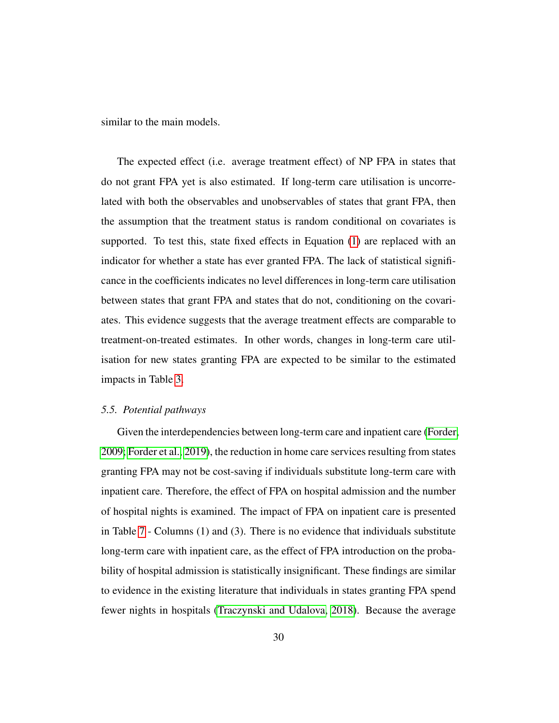similar to the main models.

The expected effect (i.e. average treatment effect) of NP FPA in states that do not grant FPA yet is also estimated. If long-term care utilisation is uncorrelated with both the observables and unobservables of states that grant FPA, then the assumption that the treatment status is random conditional on covariates is supported. To test this, state fixed effects in Equation [\(1\)](#page-18-1) are replaced with an indicator for whether a state has ever granted FPA. The lack of statistical significance in the coefficients indicates no level differences in long-term care utilisation between states that grant FPA and states that do not, conditioning on the covariates. This evidence suggests that the average treatment effects are comparable to treatment-on-treated estimates. In other words, changes in long-term care utilisation for new states granting FPA are expected to be similar to the estimated impacts in Table [3.](#page-21-0)

#### *5.5. Potential pathways*

Given the interdependencies between long-term care and inpatient care [\(Forder,](#page-45-3) [2009;](#page-45-3) [Forder et al., 2019\)](#page-45-6), the reduction in home care services resulting from states granting FPA may not be cost-saving if individuals substitute long-term care with inpatient care. Therefore, the effect of FPA on hospital admission and the number of hospital nights is examined. The impact of FPA on inpatient care is presented in Table [7](#page-30-0) - Columns (1) and (3). There is no evidence that individuals substitute long-term care with inpatient care, as the effect of FPA introduction on the probability of hospital admission is statistically insignificant. These findings are similar to evidence in the existing literature that individuals in states granting FPA spend fewer nights in hospitals [\(Traczynski and Udalova, 2018\)](#page-50-2). Because the average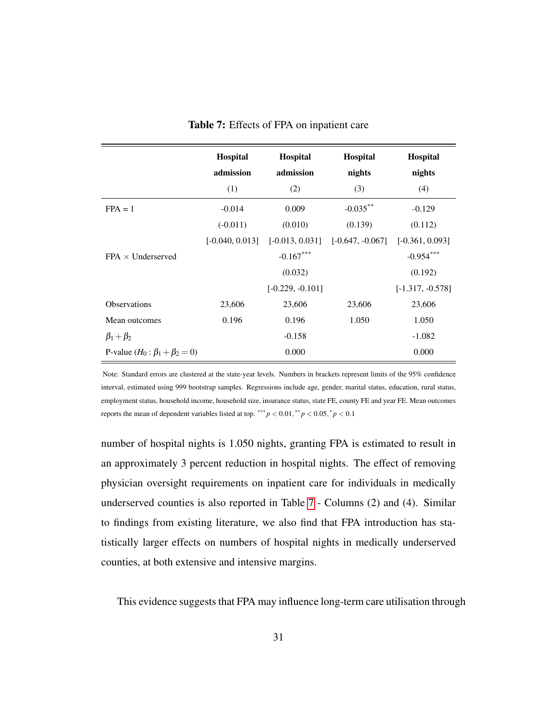<span id="page-30-0"></span>

|                                        | Hospital          | Hospital           | Hospital           | Hospital           |
|----------------------------------------|-------------------|--------------------|--------------------|--------------------|
|                                        | admission         | admission          | nights             | nights             |
|                                        | (1)               | (2)                | (3)                | (4)                |
| $FPA = 1$                              | $-0.014$          | 0.009              | $-0.035***$        | $-0.129$           |
|                                        | $(-0.011)$        | (0.010)            | (0.139)            | (0.112)            |
|                                        | $[-0.040, 0.013]$ | $[-0.013, 0.031]$  | $[-0.647, -0.067]$ | $[-0.361, 0.093]$  |
| $FPA \times$ Underserved               |                   | $-0.167***$        |                    | $-0.954***$        |
|                                        |                   | (0.032)            |                    | (0.192)            |
|                                        |                   | $[-0.229, -0.101]$ |                    | $[-1.317, -0.578]$ |
| <b>Observations</b>                    | 23,606            | 23,606             | 23,606             | 23,606             |
| Mean outcomes                          | 0.196             | 0.196              | 1.050              | 1.050              |
| $\beta_1+\beta_2$                      |                   | $-0.158$           |                    | $-1.082$           |
| P-value $(H_0: \beta_1 + \beta_2 = 0)$ |                   | 0.000              |                    | 0.000              |

Table 7: Effects of FPA on inpatient care

Note: Standard errors are clustered at the state-year levels. Numbers in brackets represent limits of the 95% confidence interval, estimated using 999 bootstrap samples. Regressions include age, gender, marital status, education, rural status, employment status, household income, household size, insurance status, state FE, county FE and year FE. Mean outcomes reports the mean of dependent variables listed at top.  $*** p < 0.01, ** p < 0.05, * p < 0.1$ 

number of hospital nights is 1.050 nights, granting FPA is estimated to result in an approximately 3 percent reduction in hospital nights. The effect of removing physician oversight requirements on inpatient care for individuals in medically underserved counties is also reported in Table [7](#page-30-0) - Columns (2) and (4). Similar to findings from existing literature, we also find that FPA introduction has statistically larger effects on numbers of hospital nights in medically underserved counties, at both extensive and intensive margins.

This evidence suggests that FPA may influence long-term care utilisation through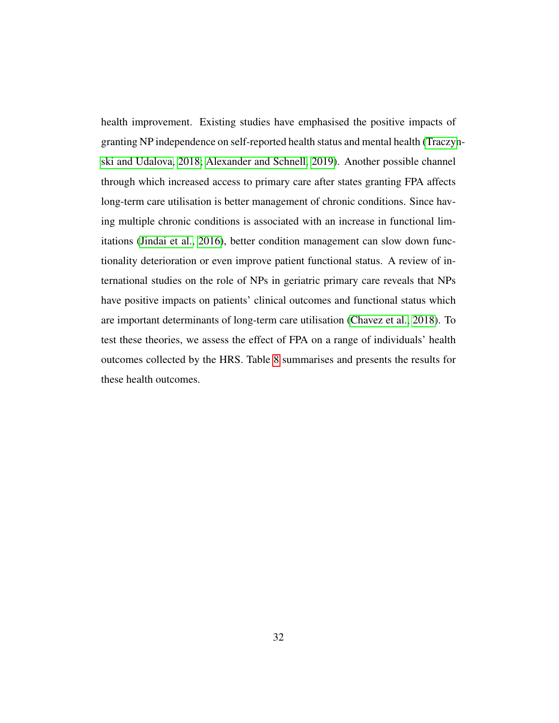health improvement. Existing studies have emphasised the positive impacts of granting NP independence on self-reported health status and mental health [\(Traczyn](#page-50-2)[ski and Udalova, 2018;](#page-50-2) [Alexander and Schnell, 2019\)](#page-42-3). Another possible channel through which increased access to primary care after states granting FPA affects long-term care utilisation is better management of chronic conditions. Since having multiple chronic conditions is associated with an increase in functional limitations [\(Jindai et al., 2016\)](#page-46-4), better condition management can slow down functionality deterioration or even improve patient functional status. A review of international studies on the role of NPs in geriatric primary care reveals that NPs have positive impacts on patients' clinical outcomes and functional status which are important determinants of long-term care utilisation [\(Chavez et al., 2018\)](#page-44-3). To test these theories, we assess the effect of FPA on a range of individuals' health outcomes collected by the HRS. Table [8](#page-32-0) summarises and presents the results for these health outcomes.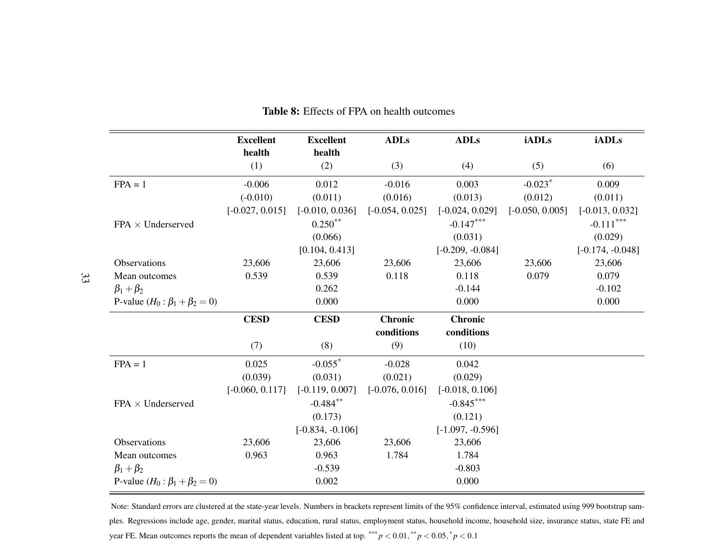|                                        | <b>Excellent</b>  | <b>Excellent</b>   | <b>ADLs</b>       | <b>ADLs</b>        | <b>iADLs</b>          | <b>iADLs</b>       |
|----------------------------------------|-------------------|--------------------|-------------------|--------------------|-----------------------|--------------------|
|                                        | health<br>(1)     | health<br>(2)      | (3)               | (4)                | (5)                   | (6)                |
| $FPA = 1$                              | $-0.006$          | 0.012              | $-0.016$          | 0.003              | $-0.023$ <sup>*</sup> | 0.009              |
|                                        | $(-0.010)$        | (0.011)            | (0.016)           | (0.013)            | (0.012)               | (0.011)            |
|                                        | $[-0.027, 0.015]$ | $[-0.010, 0.036]$  | $[-0.054, 0.025]$ | $[-0.024, 0.029]$  | $[-0.050, 0.005]$     | $[-0.013, 0.032]$  |
| $FPA \times Underserved$               |                   | $0.250**$          |                   | $-0.147***$        |                       | $-0.111***$        |
|                                        |                   | (0.066)            |                   | (0.031)            |                       | (0.029)            |
|                                        |                   | [0.104, 0.413]     |                   | $[-0.209, -0.084]$ |                       | $[-0.174, -0.048]$ |
| Observations                           | 23,606            | 23,606             | 23,606            | 23,606             | 23,606                | 23,606             |
| Mean outcomes                          | 0.539             | 0.539              | 0.118             | 0.118              | 0.079                 | 0.079              |
| $\beta_1+\beta_2$                      |                   | 0.262              |                   | $-0.144$           |                       | $-0.102$           |
| P-value $(H_0: \beta_1 + \beta_2 = 0)$ |                   | 0.000              |                   | 0.000              |                       | 0.000              |
|                                        | <b>CESD</b>       | <b>CESD</b>        | <b>Chronic</b>    | <b>Chronic</b>     |                       |                    |
|                                        |                   |                    | conditions        | conditions         |                       |                    |
|                                        | (7)               | (8)                | (9)               | (10)               |                       |                    |
| $FPA = 1$                              | 0.025             | $-0.055$ *         | $-0.028$          | 0.042              |                       |                    |
|                                        | (0.039)           | (0.031)            | (0.021)           | (0.029)            |                       |                    |
|                                        | $[-0.060, 0.117]$ | $[-0.119, 0.007]$  | $[-0.076, 0.016]$ | $[-0.018, 0.106]$  |                       |                    |
| $FPA \times Underserved$               |                   | $-0.484***$        |                   | $-0.845***$        |                       |                    |
|                                        |                   | (0.173)            |                   | (0.121)            |                       |                    |
|                                        |                   | $[-0.834, -0.106]$ |                   | $[-1.097, -0.596]$ |                       |                    |
| Observations                           | 23,606            | 23,606             | 23,606            | 23,606             |                       |                    |
| Mean outcomes                          | 0.963             | 0.963              | 1.784             | 1.784              |                       |                    |
| $\beta_1+\beta_2$                      |                   | $-0.539$           |                   | $-0.803$           |                       |                    |
| P-value $(H_0: \beta_1 + \beta_2 = 0)$ |                   | 0.002              |                   | 0.000              |                       |                    |

### <span id="page-32-0"></span>Table 8: Effects of FPA on health outcomes

Note: Standard errors are clustered at the state-year levels. Numbers in brackets represen<sup>t</sup> limits of the 95% confidence interval, estimated using 999 bootstrap samples. Regressions include age, gender, marital status, education, rural status, employment status, household income, household size, insurance status, state FE andyear FE. Mean outcomes reports the mean of dependent variables listed at top.  $*** p < 0.01, ** p < 0.05, * p < 0.1$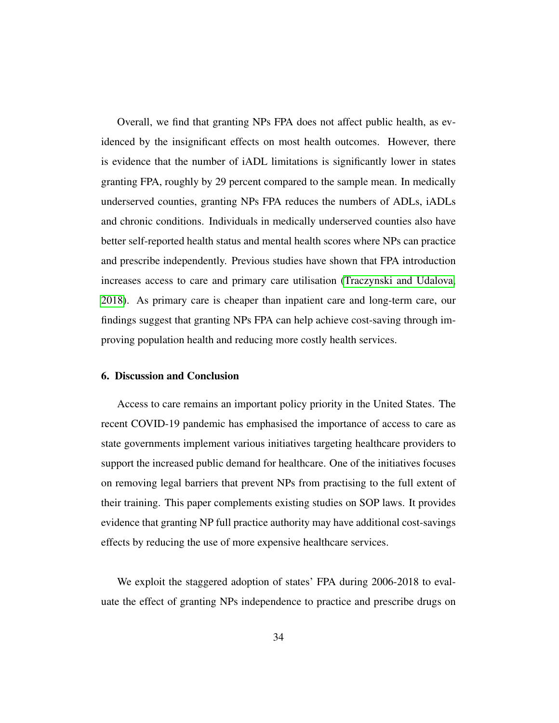Overall, we find that granting NPs FPA does not affect public health, as evidenced by the insignificant effects on most health outcomes. However, there is evidence that the number of iADL limitations is significantly lower in states granting FPA, roughly by 29 percent compared to the sample mean. In medically underserved counties, granting NPs FPA reduces the numbers of ADLs, iADLs and chronic conditions. Individuals in medically underserved counties also have better self-reported health status and mental health scores where NPs can practice and prescribe independently. Previous studies have shown that FPA introduction increases access to care and primary care utilisation [\(Traczynski and Udalova,](#page-50-2) [2018\)](#page-50-2). As primary care is cheaper than inpatient care and long-term care, our findings suggest that granting NPs FPA can help achieve cost-saving through improving population health and reducing more costly health services.

#### 6. Discussion and Conclusion

Access to care remains an important policy priority in the United States. The recent COVID-19 pandemic has emphasised the importance of access to care as state governments implement various initiatives targeting healthcare providers to support the increased public demand for healthcare. One of the initiatives focuses on removing legal barriers that prevent NPs from practising to the full extent of their training. This paper complements existing studies on SOP laws. It provides evidence that granting NP full practice authority may have additional cost-savings effects by reducing the use of more expensive healthcare services.

We exploit the staggered adoption of states' FPA during 2006-2018 to evaluate the effect of granting NPs independence to practice and prescribe drugs on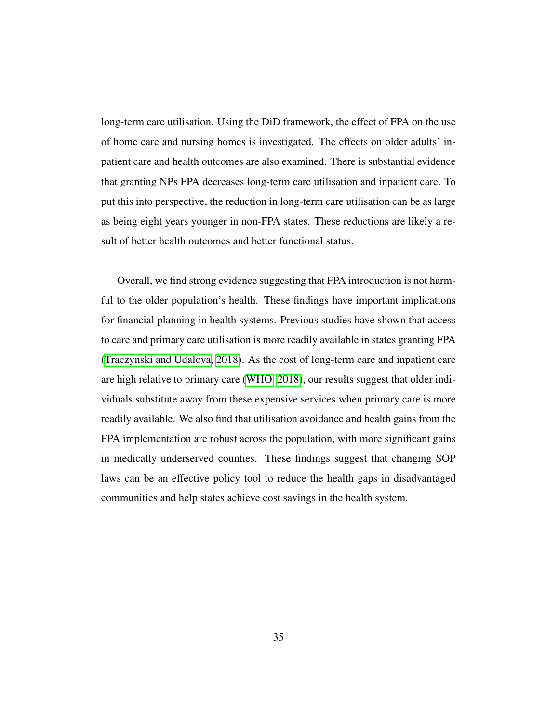long-term care utilisation. Using the DiD framework, the effect of FPA on the use of home care and nursing homes is investigated. The effects on older adults' inpatient care and health outcomes are also examined. There is substantial evidence that granting NPs FPA decreases long-term care utilisation and inpatient care. To put this into perspective, the reduction in long-term care utilisation can be as large as being eight years younger in non-FPA states. These reductions are likely a result of better health outcomes and better functional status.

Overall, we find strong evidence suggesting that FPA introduction is not harmful to the older population's health. These findings have important implications for financial planning in health systems. Previous studies have shown that access to care and primary care utilisation is more readily available in states granting FPA [\(Traczynski and Udalova, 2018\)](#page-50-2). As the cost of long-term care and inpatient care are high relative to primary care [\(WHO, 2018\)](#page-51-6), our results suggest that older individuals substitute away from these expensive services when primary care is more readily available. We also find that utilisation avoidance and health gains from the FPA implementation are robust across the population, with more significant gains in medically underserved counties. These findings suggest that changing SOP laws can be an effective policy tool to reduce the health gaps in disadvantaged communities and help states achieve cost savings in the health system.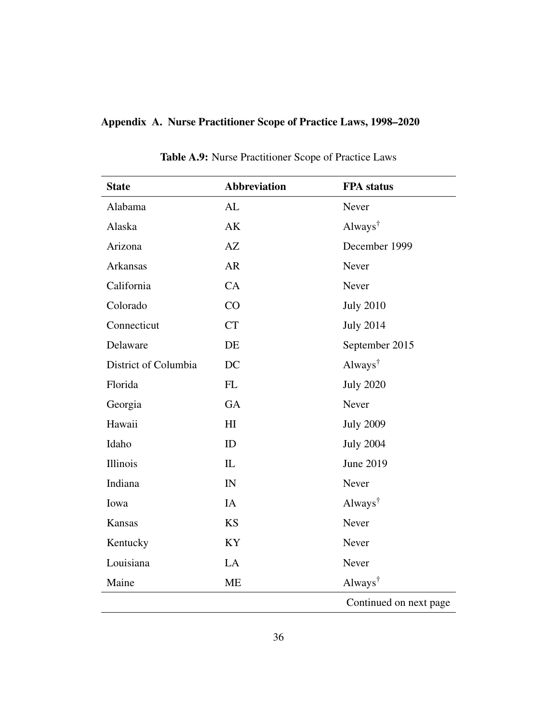## Appendix A. Nurse Practitioner Scope of Practice Laws, 1998–2020

<span id="page-35-0"></span>

| <b>State</b>         | <b>Abbreviation</b> | <b>FPA</b> status                      |
|----------------------|---------------------|----------------------------------------|
| Alabama              | AL                  | Never                                  |
| Alaska               | <b>AK</b>           | Always <sup>†</sup>                    |
| Arizona              | AZ                  | December 1999                          |
| <b>Arkansas</b>      | <b>AR</b>           | Never                                  |
| California           | CA                  | Never                                  |
| Colorado             | CO                  | <b>July 2010</b>                       |
| Connecticut          | <b>CT</b>           | <b>July 2014</b>                       |
| Delaware             | DE                  | September 2015                         |
| District of Columbia | DC                  | Always <sup><math>\dagger</math></sup> |
| Florida              | FL                  | <b>July 2020</b>                       |
| Georgia              | GA                  | Never                                  |
| Hawaii               | H <sub>I</sub>      | <b>July 2009</b>                       |
| Idaho                | ID                  | <b>July 2004</b>                       |
| Illinois             | IL                  | June 2019                              |
| Indiana              | IN                  | Never                                  |
| Iowa                 | IA                  | Always <sup>†</sup>                    |
| Kansas               | <b>KS</b>           | Never                                  |
| Kentucky             | KY                  | Never                                  |
| Louisiana            | LA                  | Never                                  |
| Maine                | <b>ME</b>           | Always <sup><math>\dagger</math></sup> |
|                      |                     | Continued on next page                 |

Table A.9: Nurse Practitioner Scope of Practice Laws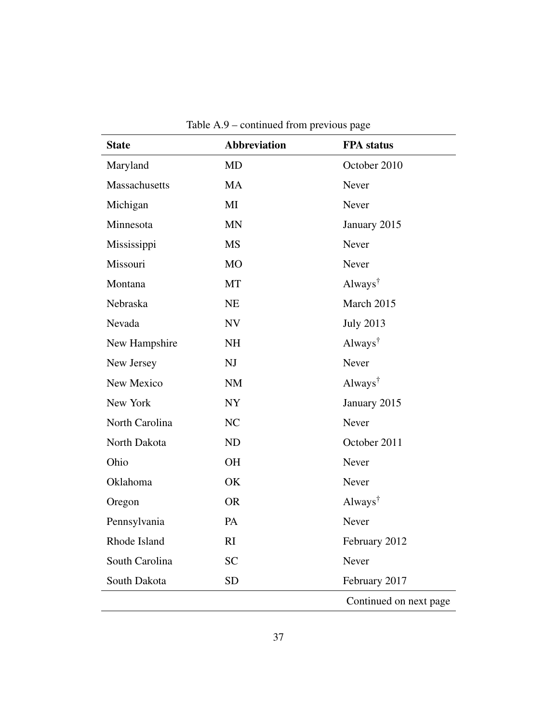| Maryland<br>MD<br>Massachusetts<br><b>MA</b><br>Michigan<br>MI<br><b>MN</b><br>Minnesota<br>Mississippi<br><b>MS</b><br>Missouri<br>MO<br>MT<br>Montana<br>Nebraska<br><b>NE</b><br>Nevada<br><b>NV</b><br>New Hampshire<br><b>NH</b><br>New Jersey<br>NJ<br>New Mexico<br><b>NM</b><br><b>NY</b><br>New York | October 2010<br>Never<br>Never<br>January 2015<br>Never<br>Never<br>Always <sup><math>\dagger</math></sup> |
|---------------------------------------------------------------------------------------------------------------------------------------------------------------------------------------------------------------------------------------------------------------------------------------------------------------|------------------------------------------------------------------------------------------------------------|
|                                                                                                                                                                                                                                                                                                               |                                                                                                            |
|                                                                                                                                                                                                                                                                                                               |                                                                                                            |
|                                                                                                                                                                                                                                                                                                               |                                                                                                            |
|                                                                                                                                                                                                                                                                                                               |                                                                                                            |
|                                                                                                                                                                                                                                                                                                               |                                                                                                            |
|                                                                                                                                                                                                                                                                                                               |                                                                                                            |
|                                                                                                                                                                                                                                                                                                               |                                                                                                            |
|                                                                                                                                                                                                                                                                                                               | March 2015                                                                                                 |
|                                                                                                                                                                                                                                                                                                               | <b>July 2013</b>                                                                                           |
|                                                                                                                                                                                                                                                                                                               | Always <sup>†</sup>                                                                                        |
|                                                                                                                                                                                                                                                                                                               | Never                                                                                                      |
|                                                                                                                                                                                                                                                                                                               | Always <sup><math>\dagger</math></sup>                                                                     |
|                                                                                                                                                                                                                                                                                                               | January 2015                                                                                               |
| North Carolina<br>NC                                                                                                                                                                                                                                                                                          | Never                                                                                                      |
| North Dakota<br><b>ND</b>                                                                                                                                                                                                                                                                                     | October 2011                                                                                               |
| Ohio<br><b>OH</b>                                                                                                                                                                                                                                                                                             | Never                                                                                                      |
| Oklahoma<br>OK                                                                                                                                                                                                                                                                                                | Never                                                                                                      |
| <b>OR</b><br>Oregon                                                                                                                                                                                                                                                                                           | Always <sup><math>\dagger</math></sup>                                                                     |
| Pennsylvania<br>PA                                                                                                                                                                                                                                                                                            | Never                                                                                                      |
| Rhode Island<br>RI                                                                                                                                                                                                                                                                                            | February 2012                                                                                              |
| <b>SC</b><br>South Carolina                                                                                                                                                                                                                                                                                   | Never                                                                                                      |
| South Dakota<br><b>SD</b>                                                                                                                                                                                                                                                                                     | February 2017                                                                                              |
|                                                                                                                                                                                                                                                                                                               | Continued on next page                                                                                     |

Table A.9 – continued from previous page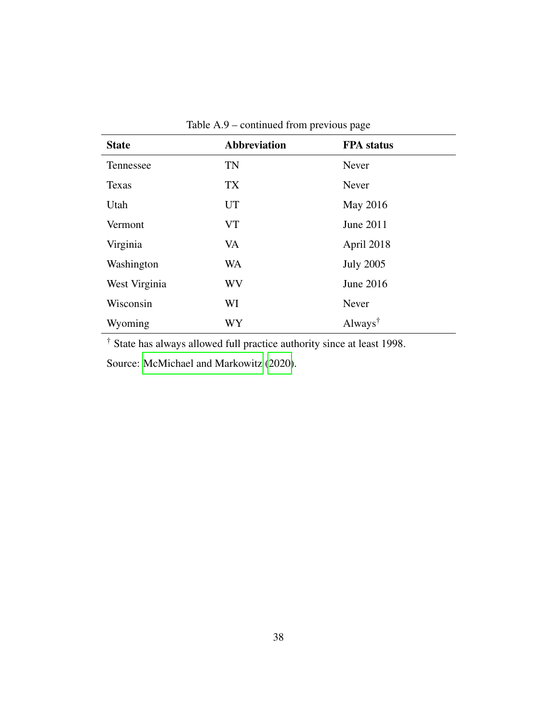|               | .                   |                     |  |  |  |
|---------------|---------------------|---------------------|--|--|--|
| <b>State</b>  | <b>Abbreviation</b> | <b>FPA</b> status   |  |  |  |
| Tennessee     | TN                  | Never               |  |  |  |
| Texas         | TX                  | Never               |  |  |  |
| Utah          | <b>UT</b>           | May 2016            |  |  |  |
| Vermont       | <b>VT</b>           | June 2011           |  |  |  |
| Virginia      | VA                  | April 2018          |  |  |  |
| Washington    | WA                  | <b>July 2005</b>    |  |  |  |
| West Virginia | WV                  | June 2016           |  |  |  |
| Wisconsin     | WI                  | Never               |  |  |  |
| Wyoming       | WY                  | Always <sup>†</sup> |  |  |  |

Table A.9 – continued from previous page

† State has always allowed full practice authority since at least 1998.

Source: [McMichael and Markowitz](#page-48-3) [\(2020\)](#page-48-3).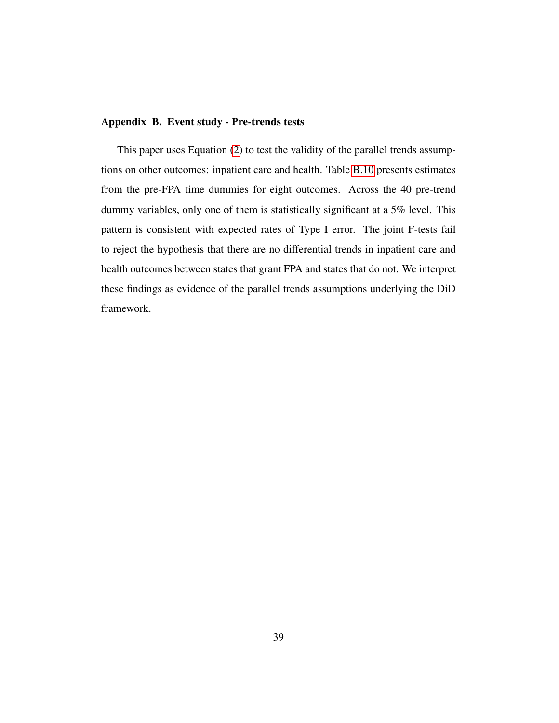#### <span id="page-38-0"></span>Appendix B. Event study - Pre-trends tests

This paper uses Equation [\(2\)](#page-19-0) to test the validity of the parallel trends assumptions on other outcomes: inpatient care and health. Table [B.10](#page-39-0) presents estimates from the pre-FPA time dummies for eight outcomes. Across the 40 pre-trend dummy variables, only one of them is statistically significant at a 5% level. This pattern is consistent with expected rates of Type I error. The joint F-tests fail to reject the hypothesis that there are no differential trends in inpatient care and health outcomes between states that grant FPA and states that do not. We interpret these findings as evidence of the parallel trends assumptions underlying the DiD framework.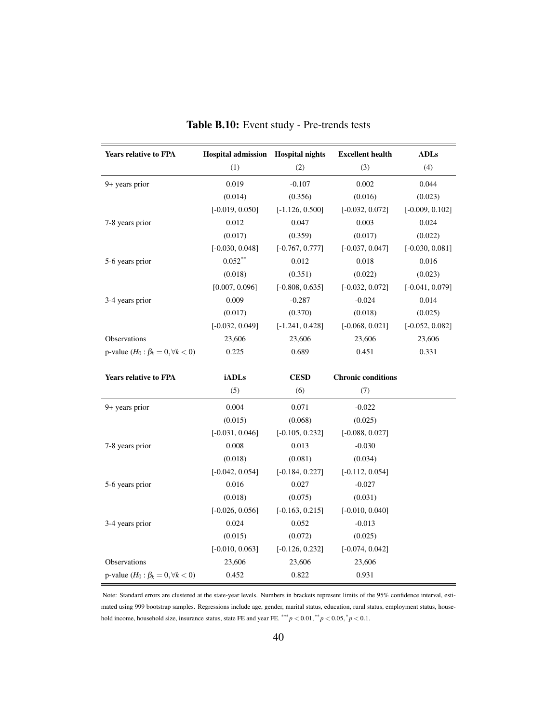<span id="page-39-0"></span>

| <b>Years relative to FPA</b>                | Hospital admission Hospital nights |                   | <b>Excellent health</b>   | <b>ADLs</b>       |
|---------------------------------------------|------------------------------------|-------------------|---------------------------|-------------------|
|                                             | (1)                                | (2)               | (3)                       | (4)               |
| 9+ years prior                              | 0.019                              | $-0.107$          | 0.002                     | 0.044             |
|                                             | (0.014)                            | (0.356)           | (0.016)                   | (0.023)           |
|                                             | $[-0.019, 0.050]$                  | $[-1.126, 0.500]$ | $[-0.032, 0.072]$         | $[-0.009, 0.102]$ |
| 7-8 years prior                             | 0.012                              | 0.047             | 0.003                     | 0.024             |
|                                             | (0.017)                            | (0.359)           | (0.017)                   | (0.022)           |
|                                             | $[-0.030, 0.048]$                  | $[-0.767, 0.777]$ | $[-0.037, 0.047]$         | $[-0.030, 0.081]$ |
| 5-6 years prior                             | $0.052***$                         | 0.012             | 0.018                     | 0.016             |
|                                             | (0.018)                            | (0.351)           | (0.022)                   | (0.023)           |
|                                             | [0.007, 0.096]                     | $[-0.808, 0.635]$ | $[-0.032, 0.072]$         | $[-0.041, 0.079]$ |
| 3-4 years prior                             | 0.009                              | $-0.287$          | $-0.024$                  | 0.014             |
|                                             | (0.017)                            | (0.370)           | (0.018)                   | (0.025)           |
|                                             | $[-0.032, 0.049]$                  | $[-1.241, 0.428]$ | $[-0.068, 0.021]$         | $[-0.052, 0.082]$ |
| Observations                                | 23,606                             | 23,606            | 23,606                    | 23,606            |
| p-value $(H_0: \beta_k = 0, \forall k < 0)$ | 0.225                              | 0.689             | 0.451                     | 0.331             |
| <b>Years relative to FPA</b>                | <b>iADLs</b>                       | <b>CESD</b>       | <b>Chronic conditions</b> |                   |
|                                             | (5)                                | (6)               | (7)                       |                   |
| 9+ years prior                              | 0.004                              | 0.071             | $-0.022$                  |                   |
|                                             | (0.015)                            | (0.068)           | (0.025)                   |                   |
|                                             | $[-0.031, 0.046]$                  | $[-0.105, 0.232]$ | $[-0.088, 0.027]$         |                   |
| 7-8 years prior                             | 0.008                              | 0.013             | $-0.030$                  |                   |
|                                             | (0.018)                            | (0.081)           | (0.034)                   |                   |
|                                             | $[-0.042, 0.054]$                  | $[-0.184, 0.227]$ | $[-0.112, 0.054]$         |                   |
| 5-6 years prior                             | 0.016                              | 0.027             | $-0.027$                  |                   |
|                                             | (0.018)                            | (0.075)           | (0.031)                   |                   |
|                                             | $[-0.026, 0.056]$                  | $[-0.163, 0.215]$ | $[-0.010, 0.040]$         |                   |
| 3-4 years prior                             | 0.024                              | 0.052             | $-0.013$                  |                   |
|                                             | (0.015)                            | (0.072)           | (0.025)                   |                   |
|                                             | $[-0.010, 0.063]$                  | $[-0.126, 0.232]$ | $[-0.074, 0.042]$         |                   |
| Observations                                | 23,606                             | 23,606            | 23,606                    |                   |
| p-value $(H_0: \beta_k = 0, \forall k < 0)$ | 0.452                              | 0.822             | 0.931                     |                   |

| Table B.10: Event study - Pre-trends tests |  |  |  |  |
|--------------------------------------------|--|--|--|--|
|--------------------------------------------|--|--|--|--|

Note: Standard errors are clustered at the state-year levels. Numbers in brackets represent limits of the 95% confidence interval, estimated using 999 bootstrap samples. Regressions include age, gender, marital status, education, rural status, employment status, household income, household size, insurance status, state FE and year FE. \*\*\*  $p < 0.01$ , \*\*  $p < 0.05$ , \*  $p < 0.1$ .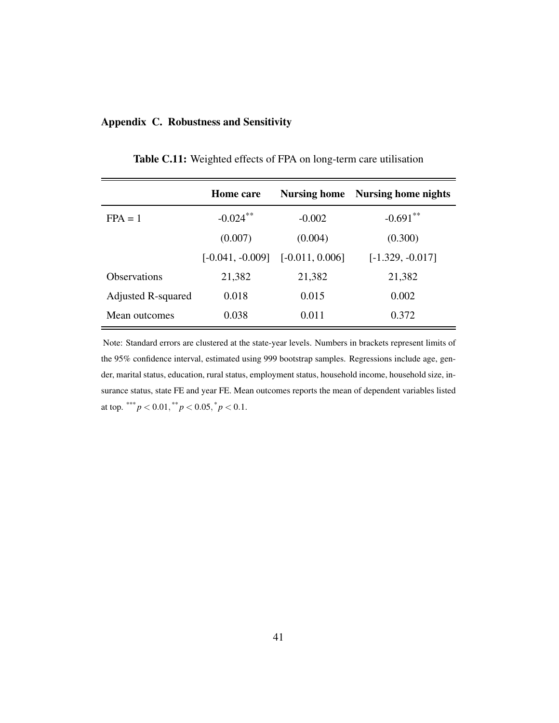## <span id="page-40-0"></span>Appendix C. Robustness and Sensitivity

|                     | <b>Home</b> care                     | <b>Nursing home</b> | <b>Nursing home nights</b> |
|---------------------|--------------------------------------|---------------------|----------------------------|
| $FPA = 1$           | $-0.024$ **                          | $-0.002$            | $-0.691***$                |
|                     | (0.007)                              | (0.004)             | (0.300)                    |
|                     | $[-0.041, -0.009]$ $[-0.011, 0.006]$ |                     | $[-1.329, -0.017]$         |
| <b>Observations</b> | 21,382                               | 21,382              | 21,382                     |
| Adjusted R-squared  | 0.018                                | 0.015               | 0.002                      |
| Mean outcomes       | 0.038                                | 0.011               | 0.372                      |

Table C.11: Weighted effects of FPA on long-term care utilisation

Note: Standard errors are clustered at the state-year levels. Numbers in brackets represent limits of the 95% confidence interval, estimated using 999 bootstrap samples. Regressions include age, gender, marital status, education, rural status, employment status, household income, household size, insurance status, state FE and year FE. Mean outcomes reports the mean of dependent variables listed at top. \*\*\*  $p < 0.01$ , \*\*  $p < 0.05$ , \*  $p < 0.1$ .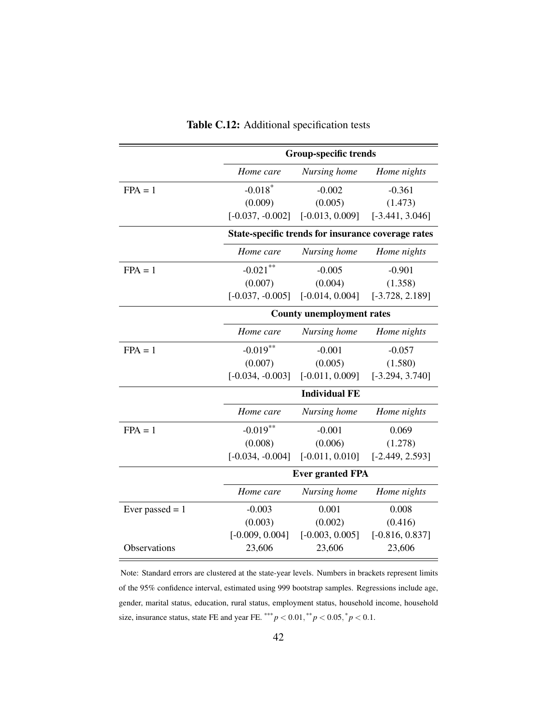|                     | <b>Group-specific trends</b>                       |                   |                   |  |  |
|---------------------|----------------------------------------------------|-------------------|-------------------|--|--|
|                     | Home care                                          | Nursing home      | Home nights       |  |  |
| $FPA = 1$           | $-0.018*$                                          | $-0.002$          | $-0.361$          |  |  |
|                     | (0.009)                                            | (0.005)           | (1.473)           |  |  |
|                     | $[-0.037, -0.002]$                                 | $[-0.013, 0.009]$ | $[-3.441, 3.046]$ |  |  |
|                     | State-specific trends for insurance coverage rates |                   |                   |  |  |
|                     | Home care                                          | Nursing home      | Home nights       |  |  |
| $FPA = 1$           | $-0.021$                                           | $-0.005$          | $-0.901$          |  |  |
|                     | (0.007)                                            | (0.004)           | (1.358)           |  |  |
|                     | $[-0.037, -0.005]$                                 | $[-0.014, 0.004]$ | $[-3.728, 2.189]$ |  |  |
|                     | <b>County unemployment rates</b>                   |                   |                   |  |  |
|                     | Home care                                          | Nursing home      | Home nights       |  |  |
| $FPA = 1$           | $-0.019***$                                        | $-0.001$          | $-0.057$          |  |  |
|                     | (0.007)                                            | (0.005)           | (1.580)           |  |  |
|                     | $[-0.034, -0.003]$                                 | $[-0.011, 0.009]$ | $[-3.294, 3.740]$ |  |  |
|                     | <b>Individual FE</b>                               |                   |                   |  |  |
|                     | Home care                                          | Nursing home      | Home nights       |  |  |
| $FPA = 1$           | $-0.019$ **                                        | $-0.001$          | 0.069             |  |  |
|                     | (0.008)                                            | (0.006)           | (1.278)           |  |  |
|                     | $[-0.034, -0.004]$                                 | $[-0.011, 0.010]$ | $[-2.449, 2.593]$ |  |  |
|                     | <b>Ever granted FPA</b>                            |                   |                   |  |  |
|                     | Home care                                          | Nursing home      | Home nights       |  |  |
| Ever passed $= 1$   | $-0.003$                                           | 0.001             | 0.008             |  |  |
|                     | (0.003)                                            | (0.002)           | (0.416)           |  |  |
|                     | $[-0.009, 0.004]$                                  | $[-0.003, 0.005]$ | $[-0.816, 0.837]$ |  |  |
| <b>Observations</b> | 23,606                                             | 23,606            | 23,606            |  |  |

Table C.12: Additional specification tests

Note: Standard errors are clustered at the state-year levels. Numbers in brackets represent limits of the 95% confidence interval, estimated using 999 bootstrap samples. Regressions include age, gender, marital status, education, rural status, employment status, household income, household size, insurance status, state FE and year FE. \*\*\*  $p < 0.01$ , \*\*  $p < 0.05$ , \*  $p < 0.1$ .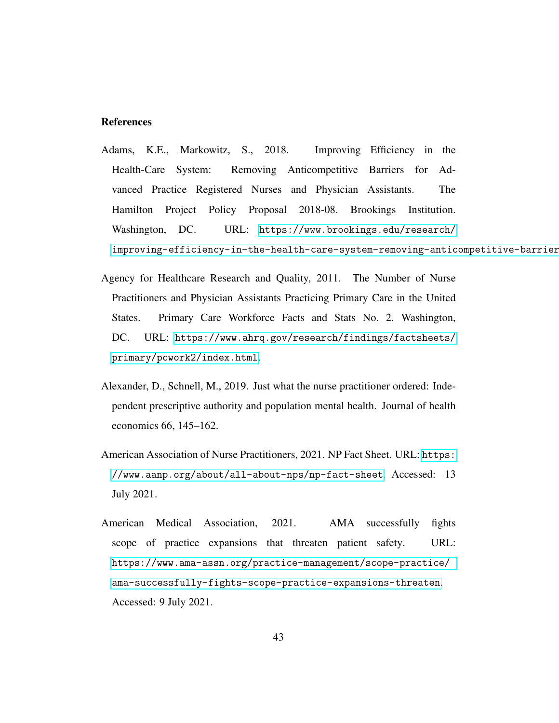#### References

- <span id="page-42-1"></span>Adams, K.E., Markowitz, S., 2018. Improving Efficiency in the Health-Care System: Removing Anticompetitive Barriers for Advanced Practice Registered Nurses and Physician Assistants. The Hamilton Project Policy Proposal 2018-08. Brookings Institution. Washington, DC. URL: [https://www.brookings.edu/research/](https://www.brookings.edu/research/improving-efficiency-in-the-health-care-system-removing-anticompetitive-barriers-for-advanced-practice-registered-nurses-and-physician-assistants/) improving-efficiency-in-the-health-care-system-removing-anticompetitive-barrier
- <span id="page-42-0"></span>Agency for Healthcare Research and Quality, 2011. The Number of Nurse Practitioners and Physician Assistants Practicing Primary Care in the United States. Primary Care Workforce Facts and Stats No. 2. Washington, DC. URL: [https://www.ahrq.gov/research/findings/factsheets/](https://www.ahrq.gov/research/findings/factsheets/primary/pcwork2/index.html) [primary/pcwork2/index.html](https://www.ahrq.gov/research/findings/factsheets/primary/pcwork2/index.html).
- <span id="page-42-3"></span>Alexander, D., Schnell, M., 2019. Just what the nurse practitioner ordered: Independent prescriptive authority and population mental health. Journal of health economics 66, 145–162.
- <span id="page-42-4"></span>American Association of Nurse Practitioners, 2021. NP Fact Sheet. URL: [https:](https://www.aanp.org/about/all-about-nps/np-fact-sheet) [//www.aanp.org/about/all-about-nps/np-fact-sheet](https://www.aanp.org/about/all-about-nps/np-fact-sheet). Accessed: 13 July 2021.
- <span id="page-42-2"></span>American Medical Association, 2021. AMA successfully fights scope of practice expansions that threaten patient safety. URL: [https://www.ama-assn.org/practice-management/scope-practice/](https://www.ama-assn.org/practice-management/scope-practice/ama-successfully-fights-scope-practice-expansions-threaten) [ama-successfully-fights-scope-practice-expansions-threaten](https://www.ama-assn.org/practice-management/scope-practice/ama-successfully-fights-scope-practice-expansions-threaten). Accessed: 9 July 2021.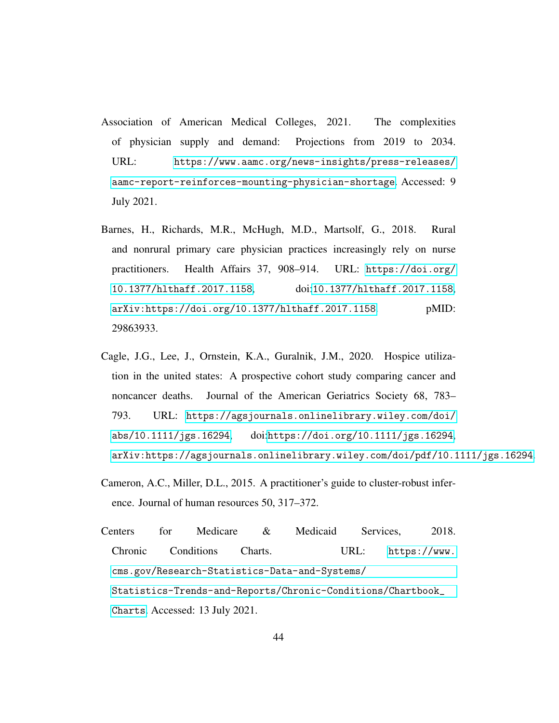- <span id="page-43-0"></span>Association of American Medical Colleges, 2021. The complexities of physician supply and demand: Projections from 2019 to 2034. URL: [https://www.aamc.org/news-insights/press-releases/](https://www.aamc.org/news-insights/press-releases/aamc-report-reinforces-mounting-physician-shortage) [aamc-report-reinforces-mounting-physician-shortage](https://www.aamc.org/news-insights/press-releases/aamc-report-reinforces-mounting-physician-shortage). Accessed: 9 July 2021.
- <span id="page-43-1"></span>Barnes, H., Richards, M.R., McHugh, M.D., Martsolf, G., 2018. Rural and nonrural primary care physician practices increasingly rely on nurse practitioners. Health Affairs 37, 908–914. URL: [https://doi.org/](https://doi.org/10.1377/hlthaff.2017.1158) [10.1377/hlthaff.2017.1158](https://doi.org/10.1377/hlthaff.2017.1158), doi:[10.1377/hlthaff.2017.1158](http://dx.doi.org/10.1377/hlthaff.2017.1158), [arXiv:https://doi.org/10.1377/hlthaff.2017.1158](http://arxiv.org/abs/https://doi.org/10.1377/hlthaff.2017.1158). pMID: 29863933.
- <span id="page-43-3"></span>Cagle, J.G., Lee, J., Ornstein, K.A., Guralnik, J.M., 2020. Hospice utilization in the united states: A prospective cohort study comparing cancer and noncancer deaths. Journal of the American Geriatrics Society 68, 783– 793. URL: [https://agsjournals.onlinelibrary.wiley.com/doi/](https://agsjournals.onlinelibrary.wiley.com/doi/abs/10.1111/jgs.16294) [abs/10.1111/jgs.16294](https://agsjournals.onlinelibrary.wiley.com/doi/abs/10.1111/jgs.16294), doi:[https://doi.org/10.1111/jgs.16294](http://dx.doi.org/https://doi.org/10.1111/jgs.16294), [arXiv:https://agsjournals.onlinelibrary.wiley.com/doi/pdf/10.1111/jgs.16294](http://arxiv.org/abs/https://agsjournals.onlinelibrary.wiley.com/doi/pdf/10.1111/jgs.16294).
- <span id="page-43-4"></span>Cameron, A.C., Miller, D.L., 2015. A practitioner's guide to cluster-robust inference. Journal of human resources 50, 317–372.
- <span id="page-43-2"></span>Centers for Medicare & Medicaid Services, 2018. Chronic Conditions Charts. URL: [https://www.](https://www.cms.gov/Research-Statistics-Data-and-Systems/Statistics-Trends-and-Reports/Chronic-Conditions/Chartbook_Charts) [cms.gov/Research-Statistics-Data-and-Systems/](https://www.cms.gov/Research-Statistics-Data-and-Systems/Statistics-Trends-and-Reports/Chronic-Conditions/Chartbook_Charts) [Statistics-Trends-and-Reports/Chronic-Conditions/Chartbook\\_](https://www.cms.gov/Research-Statistics-Data-and-Systems/Statistics-Trends-and-Reports/Chronic-Conditions/Chartbook_Charts) [Charts](https://www.cms.gov/Research-Statistics-Data-and-Systems/Statistics-Trends-and-Reports/Chronic-Conditions/Chartbook_Charts). Accessed: 13 July 2021.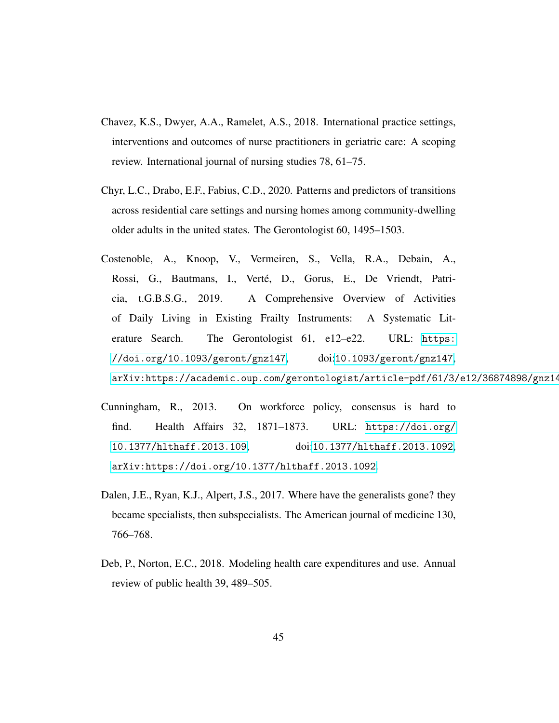- <span id="page-44-3"></span>Chavez, K.S., Dwyer, A.A., Ramelet, A.S., 2018. International practice settings, interventions and outcomes of nurse practitioners in geriatric care: A scoping review. International journal of nursing studies 78, 61–75.
- <span id="page-44-2"></span>Chyr, L.C., Drabo, E.F., Fabius, C.D., 2020. Patterns and predictors of transitions across residential care settings and nursing homes among community-dwelling older adults in the united states. The Gerontologist 60, 1495–1503.
- <span id="page-44-4"></span>Costenoble, A., Knoop, V., Vermeiren, S., Vella, R.A., Debain, A., Rossi, G., Bautmans, I., Verté, D., Gorus, E., De Vriendt, Patricia, t.G.B.S.G., 2019. A Comprehensive Overview of Activities of Daily Living in Existing Frailty Instruments: A Systematic Literature Search. The Gerontologist 61, e12–e22. URL: [https:](https://doi.org/10.1093/geront/gnz147) [//doi.org/10.1093/geront/gnz147](https://doi.org/10.1093/geront/gnz147), doi:[10.1093/geront/gnz147](http://dx.doi.org/10.1093/geront/gnz147), arXiv:https://academic.oup.com/gerontologist/article-pdf/61/3/e12/36874898/gnz14
- <span id="page-44-0"></span>Cunningham, R., 2013. On workforce policy, consensus is hard to find. Health Affairs 32, 1871–1873. URL: [https://doi.org/](https://doi.org/10.1377/hlthaff.2013.109) [10.1377/hlthaff.2013.109](https://doi.org/10.1377/hlthaff.2013.109), doi:[10.1377/hlthaff.2013.1092](http://dx.doi.org/10.1377/hlthaff.2013.1092), [arXiv:https://doi.org/10.1377/hlthaff.2013.1092](http://arxiv.org/abs/https://doi.org/10.1377/hlthaff.2013.1092).
- <span id="page-44-1"></span>Dalen, J.E., Ryan, K.J., Alpert, J.S., 2017. Where have the generalists gone? they became specialists, then subspecialists. The American journal of medicine 130, 766–768.
- <span id="page-44-5"></span>Deb, P., Norton, E.C., 2018. Modeling health care expenditures and use. Annual review of public health 39, 489–505.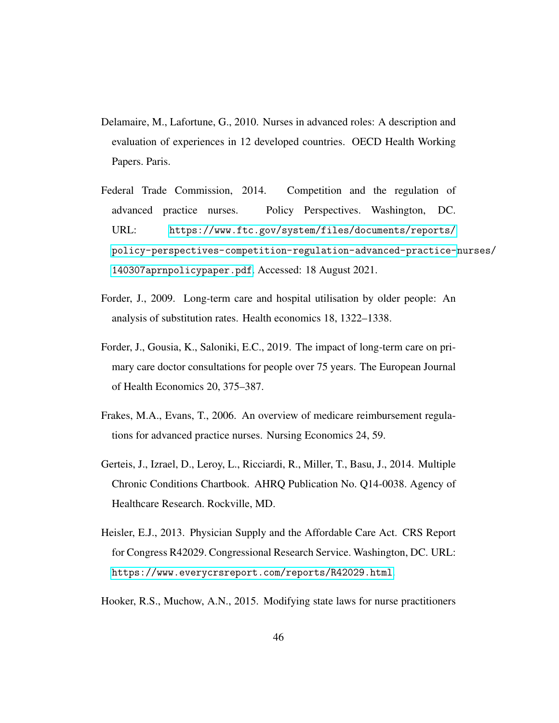- <span id="page-45-4"></span>Delamaire, M., Lafortune, G., 2010. Nurses in advanced roles: A description and evaluation of experiences in 12 developed countries. OECD Health Working Papers. Paris.
- <span id="page-45-1"></span>Federal Trade Commission, 2014. Competition and the regulation of advanced practice nurses. Policy Perspectives. Washington, DC. URL: [https://www.ftc.gov/system/files/documents/reports/](https://www.ftc.gov/system/files/documents/reports/policy-perspectives-competition-regulation-advanced-practice-nurses/140307aprnpolicypaper.pdf) [policy-perspectives-competition-regulation-advanced-practice-](https://www.ftc.gov/system/files/documents/reports/policy-perspectives-competition-regulation-advanced-practice-nurses/140307aprnpolicypaper.pdf)nurses/ [140307aprnpolicypaper.pdf](https://www.ftc.gov/system/files/documents/reports/policy-perspectives-competition-regulation-advanced-practice-nurses/140307aprnpolicypaper.pdf). Accessed: 18 August 2021.
- <span id="page-45-3"></span>Forder, J., 2009. Long-term care and hospital utilisation by older people: An analysis of substitution rates. Health economics 18, 1322–1338.
- <span id="page-45-6"></span>Forder, J., Gousia, K., Saloniki, E.C., 2019. The impact of long-term care on primary care doctor consultations for people over 75 years. The European Journal of Health Economics 20, 375–387.
- <span id="page-45-7"></span>Frakes, M.A., Evans, T., 2006. An overview of medicare reimbursement regulations for advanced practice nurses. Nursing Economics 24, 59.
- <span id="page-45-2"></span>Gerteis, J., Izrael, D., Leroy, L., Ricciardi, R., Miller, T., Basu, J., 2014. Multiple Chronic Conditions Chartbook. AHRQ Publication No. Q14-0038. Agency of Healthcare Research. Rockville, MD.
- <span id="page-45-0"></span>Heisler, E.J., 2013. Physician Supply and the Affordable Care Act. CRS Report for Congress R42029. Congressional Research Service. Washington, DC. URL: <https://www.everycrsreport.com/reports/R42029.html>.
- <span id="page-45-5"></span>Hooker, R.S., Muchow, A.N., 2015. Modifying state laws for nurse practitioners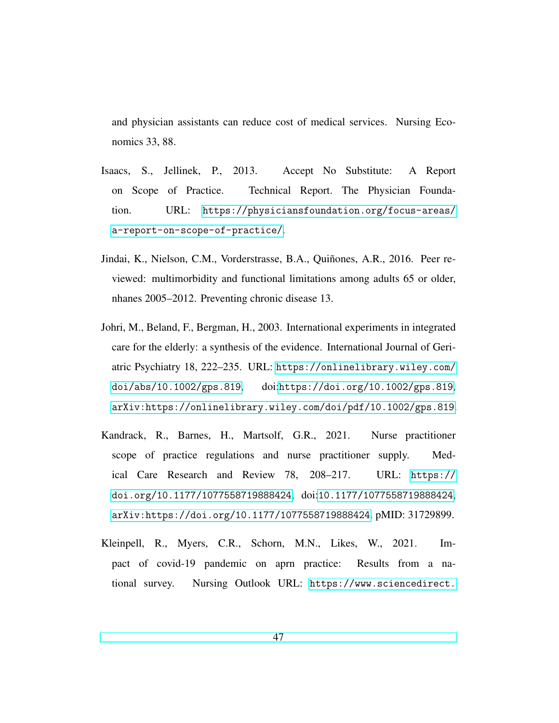and physician assistants can reduce cost of medical services. Nursing Economics 33, 88.

- <span id="page-46-3"></span>Isaacs, S., Jellinek, P., 2013. Accept No Substitute: A Report on Scope of Practice. Technical Report. The Physician Foundation. URL: [https://physiciansfoundation.org/focus-areas/](https://physiciansfoundation.org/focus-areas/a-report-on-scope-of-practice/) [a-report-on-scope-of-practice/](https://physiciansfoundation.org/focus-areas/a-report-on-scope-of-practice/).
- <span id="page-46-4"></span>Jindai, K., Nielson, C.M., Vorderstrasse, B.A., Quiñones, A.R., 2016. Peer reviewed: multimorbidity and functional limitations among adults 65 or older, nhanes 2005–2012. Preventing chronic disease 13.
- <span id="page-46-2"></span>Johri, M., Beland, F., Bergman, H., 2003. International experiments in integrated care for the elderly: a synthesis of the evidence. International Journal of Geriatric Psychiatry 18, 222–235. URL: [https://onlinelibrary.wiley.com/](https://onlinelibrary.wiley.com/doi/abs/10.1002/gps.819) [doi/abs/10.1002/gps.819](https://onlinelibrary.wiley.com/doi/abs/10.1002/gps.819), doi:[https://doi.org/10.1002/gps.819](http://dx.doi.org/https://doi.org/10.1002/gps.819), [arXiv:https://onlinelibrary.wiley.com/doi/pdf/10.1002/gps.819](http://arxiv.org/abs/https://onlinelibrary.wiley.com/doi/pdf/10.1002/gps.819).
- <span id="page-46-1"></span>Kandrack, R., Barnes, H., Martsolf, G.R., 2021. Nurse practitioner scope of practice regulations and nurse practitioner supply. Medical Care Research and Review 78, 208–217. URL: [https://](https://doi.org/10.1177/1077558719888424) [doi.org/10.1177/1077558719888424](https://doi.org/10.1177/1077558719888424), doi:[10.1177/1077558719888424](http://dx.doi.org/10.1177/1077558719888424), [arXiv:https://doi.org/10.1177/1077558719888424](http://arxiv.org/abs/https://doi.org/10.1177/1077558719888424). pMID: 31729899.
- <span id="page-46-0"></span>Kleinpell, R., Myers, C.R., Schorn, M.N., Likes, W., 2021. Impact of covid-19 pandemic on aprn practice: Results from a national survey. Nursing Outlook URL: [https://www.sciencedirect.](https://www.sciencedirect.com/science/article/pii/S0029655421001287)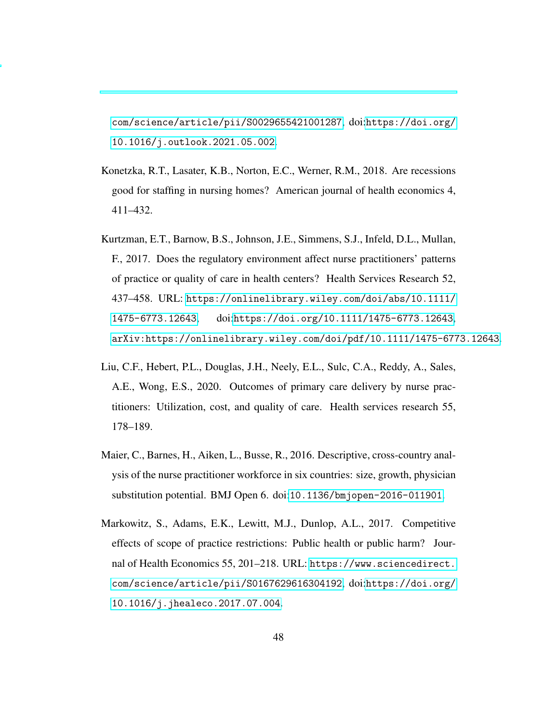[com/science/article/pii/S0029655421001287](https://www.sciencedirect.com/science/article/pii/S0029655421001287), doi:[https://doi.org/](http://dx.doi.org/https://doi.org/10.1016/j.outlook.2021.05.002) [10.1016/j.outlook.2021.05.002](http://dx.doi.org/https://doi.org/10.1016/j.outlook.2021.05.002).

- <span id="page-47-4"></span>Konetzka, R.T., Lasater, K.B., Norton, E.C., Werner, R.M., 2018. Are recessions good for staffing in nursing homes? American journal of health economics 4, 411–432.
- <span id="page-47-2"></span>Kurtzman, E.T., Barnow, B.S., Johnson, J.E., Simmens, S.J., Infeld, D.L., Mullan, F., 2017. Does the regulatory environment affect nurse practitioners' patterns of practice or quality of care in health centers? Health Services Research 52, 437–458. URL: [https://onlinelibrary.wiley.com/doi/abs/10.1111/](https://onlinelibrary.wiley.com/doi/abs/10.1111/1475-6773.12643) [1475-6773.12643](https://onlinelibrary.wiley.com/doi/abs/10.1111/1475-6773.12643), doi:[https://doi.org/10.1111/1475-6773.12643](http://dx.doi.org/https://doi.org/10.1111/1475-6773.12643), [arXiv:https://onlinelibrary.wiley.com/doi/pdf/10.1111/1475-6773.12643](http://arxiv.org/abs/https://onlinelibrary.wiley.com/doi/pdf/10.1111/1475-6773.12643).
- <span id="page-47-1"></span>Liu, C.F., Hebert, P.L., Douglas, J.H., Neely, E.L., Sulc, C.A., Reddy, A., Sales, A.E., Wong, E.S., 2020. Outcomes of primary care delivery by nurse practitioners: Utilization, cost, and quality of care. Health services research 55, 178–189.
- <span id="page-47-0"></span>Maier, C., Barnes, H., Aiken, L., Busse, R., 2016. Descriptive, cross-country analysis of the nurse practitioner workforce in six countries: size, growth, physician substitution potential. BMJ Open 6. doi:[10.1136/bmjopen-2016-011901](http://dx.doi.org/10.1136/bmjopen-2016-011901).
- <span id="page-47-3"></span>Markowitz, S., Adams, E.K., Lewitt, M.J., Dunlop, A.L., 2017. Competitive effects of scope of practice restrictions: Public health or public harm? Journal of Health Economics 55, 201–218. URL: [https://www.sciencedirect.](https://www.sciencedirect.com/science/article/pii/S0167629616304192) [com/science/article/pii/S0167629616304192](https://www.sciencedirect.com/science/article/pii/S0167629616304192), doi:[https://doi.org/](http://dx.doi.org/https://doi.org/10.1016/j.jhealeco.2017.07.004) [10.1016/j.jhealeco.2017.07.004](http://dx.doi.org/https://doi.org/10.1016/j.jhealeco.2017.07.004).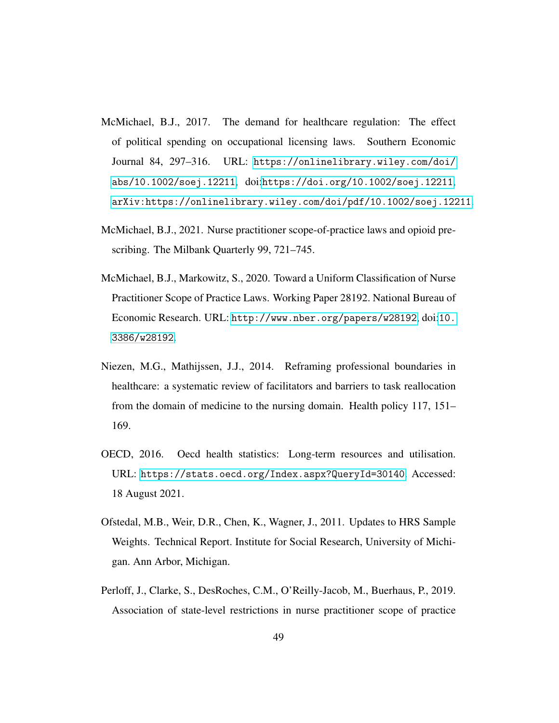- <span id="page-48-5"></span>McMichael, B.J., 2017. The demand for healthcare regulation: The effect of political spending on occupational licensing laws. Southern Economic Journal 84, 297–316. URL: [https://onlinelibrary.wiley.com/doi/](https://onlinelibrary.wiley.com/doi/abs/10.1002/soej.12211) [abs/10.1002/soej.12211](https://onlinelibrary.wiley.com/doi/abs/10.1002/soej.12211), doi:[https://doi.org/10.1002/soej.12211](http://dx.doi.org/https://doi.org/10.1002/soej.12211), [arXiv:https://onlinelibrary.wiley.com/doi/pdf/10.1002/soej.12211](http://arxiv.org/abs/https://onlinelibrary.wiley.com/doi/pdf/10.1002/soej.12211).
- <span id="page-48-2"></span>McMichael, B.J., 2021. Nurse practitioner scope-of-practice laws and opioid prescribing. The Milbank Quarterly 99, 721–745.
- <span id="page-48-3"></span>McMichael, B.J., Markowitz, S., 2020. Toward a Uniform Classification of Nurse Practitioner Scope of Practice Laws. Working Paper 28192. National Bureau of Economic Research. URL: <http://www.nber.org/papers/w28192>, doi:[10.](http://dx.doi.org/10.3386/w28192) [3386/w28192](http://dx.doi.org/10.3386/w28192).
- <span id="page-48-0"></span>Niezen, M.G., Mathijssen, J.J., 2014. Reframing professional boundaries in healthcare: a systematic review of facilitators and barriers to task reallocation from the domain of medicine to the nursing domain. Health policy 117, 151– 169.
- <span id="page-48-6"></span>OECD, 2016. Oecd health statistics: Long-term resources and utilisation. URL: <https://stats.oecd.org/Index.aspx?QueryId=30140>. Accessed: 18 August 2021.
- <span id="page-48-4"></span>Ofstedal, M.B., Weir, D.R., Chen, K., Wagner, J., 2011. Updates to HRS Sample Weights. Technical Report. Institute for Social Research, University of Michigan. Ann Arbor, Michigan.
- <span id="page-48-1"></span>Perloff, J., Clarke, S., DesRoches, C.M., O'Reilly-Jacob, M., Buerhaus, P., 2019. Association of state-level restrictions in nurse practitioner scope of practice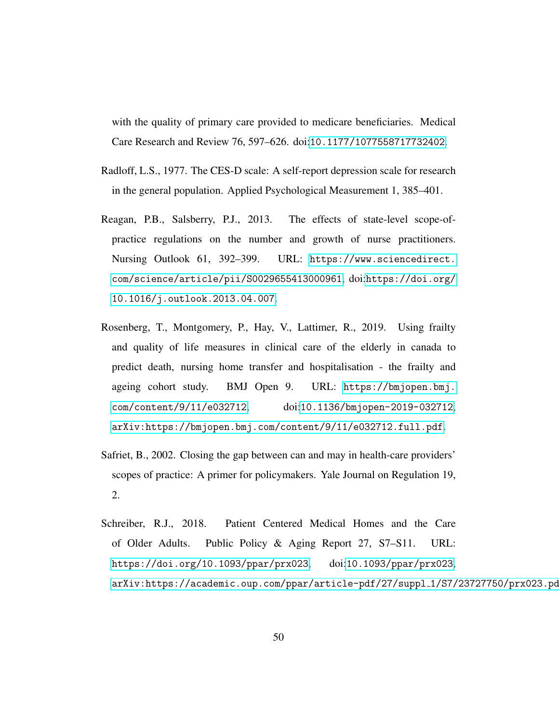with the quality of primary care provided to medicare beneficiaries. Medical Care Research and Review 76, 597–626. doi:[10.1177/1077558717732402](http://dx.doi.org/10.1177/1077558717732402).

- <span id="page-49-4"></span>Radloff, L.S., 1977. The CES-D scale: A self-report depression scale for research in the general population. Applied Psychological Measurement 1, 385–401.
- <span id="page-49-1"></span>Reagan, P.B., Salsberry, P.J., 2013. The effects of state-level scope-ofpractice regulations on the number and growth of nurse practitioners. Nursing Outlook 61, 392–399. URL: [https://www.sciencedirect.](https://www.sciencedirect.com/science/article/pii/S0029655413000961) [com/science/article/pii/S0029655413000961](https://www.sciencedirect.com/science/article/pii/S0029655413000961), doi:[https://doi.org/](http://dx.doi.org/https://doi.org/10.1016/j.outlook.2013.04.007) [10.1016/j.outlook.2013.04.007](http://dx.doi.org/https://doi.org/10.1016/j.outlook.2013.04.007).
- <span id="page-49-3"></span>Rosenberg, T., Montgomery, P., Hay, V., Lattimer, R., 2019. Using frailty and quality of life measures in clinical care of the elderly in canada to predict death, nursing home transfer and hospitalisation - the frailty and ageing cohort study. BMJ Open 9. URL: [https://bmjopen.bmj.](https://bmjopen.bmj.com/content/9/11/e032712) [com/content/9/11/e032712](https://bmjopen.bmj.com/content/9/11/e032712), doi:[10.1136/bmjopen-2019-032712](http://dx.doi.org/10.1136/bmjopen-2019-032712), [arXiv:https://bmjopen.bmj.com/content/9/11/e032712.full.pdf](http://arxiv.org/abs/https://bmjopen.bmj.com/content/9/11/e032712.full.pdf).
- <span id="page-49-2"></span>Safriet, B., 2002. Closing the gap between can and may in health-care providers' scopes of practice: A primer for policymakers. Yale Journal on Regulation 19, 2.
- <span id="page-49-0"></span>Schreiber, R.J., 2018. Patient Centered Medical Homes and the Care of Older Adults. Public Policy & Aging Report 27, S7–S11. URL: <https://doi.org/10.1093/ppar/prx023>, doi:[10.1093/ppar/prx023](http://dx.doi.org/10.1093/ppar/prx023), [arXiv:https://academic.oup.com/ppar/article-pdf/27/suppl](http://arxiv.org/abs/https://academic.oup.com/ppar/article-pdf/27/suppl_1/S7/23727750/prx023.pdf)\_1/S7/23727750/prx023.pd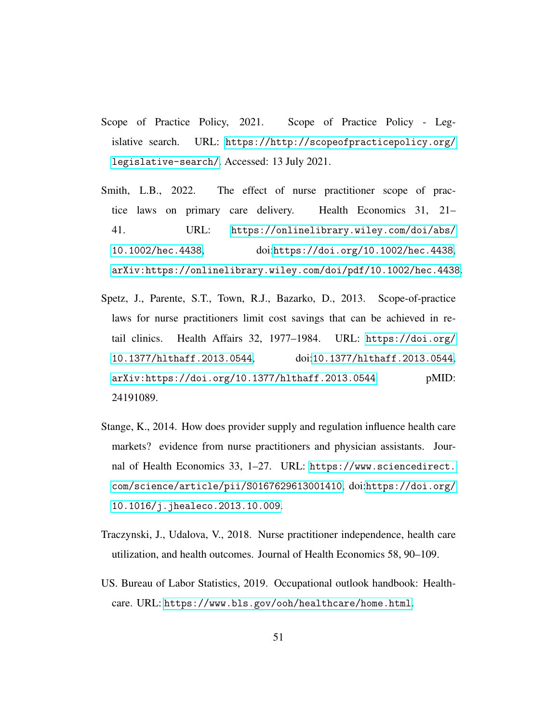- <span id="page-50-1"></span>Scope of Practice Policy, 2021. Scope of Practice Policy - Legislative search. URL: [https://http://scopeofpracticepolicy.org/](https://http://scopeofpracticepolicy.org/legislative-search/) [legislative-search/](https://http://scopeofpracticepolicy.org/legislative-search/). Accessed: 13 July 2021.
- <span id="page-50-5"></span>Smith, L.B., 2022. The effect of nurse practitioner scope of practice laws on primary care delivery. Health Economics 31, 21– 41. URL: [https://onlinelibrary.wiley.com/doi/abs/](https://onlinelibrary.wiley.com/doi/abs/10.1002/hec.4438) [10.1002/hec.4438](https://onlinelibrary.wiley.com/doi/abs/10.1002/hec.4438), doi:[https://doi.org/10.1002/hec.4438](http://dx.doi.org/https://doi.org/10.1002/hec.4438), [arXiv:https://onlinelibrary.wiley.com/doi/pdf/10.1002/hec.4438](http://arxiv.org/abs/https://onlinelibrary.wiley.com/doi/pdf/10.1002/hec.4438).
- <span id="page-50-3"></span>Spetz, J., Parente, S.T., Town, R.J., Bazarko, D., 2013. Scope-of-practice laws for nurse practitioners limit cost savings that can be achieved in retail clinics. Health Affairs 32, 1977–1984. URL: [https://doi.org/](https://doi.org/10.1377/hlthaff.2013.0544) [10.1377/hlthaff.2013.0544](https://doi.org/10.1377/hlthaff.2013.0544), doi:[10.1377/hlthaff.2013.0544](http://dx.doi.org/10.1377/hlthaff.2013.0544), [arXiv:https://doi.org/10.1377/hlthaff.2013.0544](http://arxiv.org/abs/https://doi.org/10.1377/hlthaff.2013.0544). pMID: 24191089.
- <span id="page-50-4"></span>Stange, K., 2014. How does provider supply and regulation influence health care markets? evidence from nurse practitioners and physician assistants. Journal of Health Economics 33, 1–27. URL: [https://www.sciencedirect.](https://www.sciencedirect.com/science/article/pii/S0167629613001410) [com/science/article/pii/S0167629613001410](https://www.sciencedirect.com/science/article/pii/S0167629613001410), doi:[https://doi.org/](http://dx.doi.org/https://doi.org/10.1016/j.jhealeco.2013.10.009) [10.1016/j.jhealeco.2013.10.009](http://dx.doi.org/https://doi.org/10.1016/j.jhealeco.2013.10.009).
- <span id="page-50-2"></span>Traczynski, J., Udalova, V., 2018. Nurse practitioner independence, health care utilization, and health outcomes. Journal of Health Economics 58, 90–109.
- <span id="page-50-0"></span>US. Bureau of Labor Statistics, 2019. Occupational outlook handbook: Healthcare. URL: <https://www.bls.gov/ooh/healthcare/home.html>.